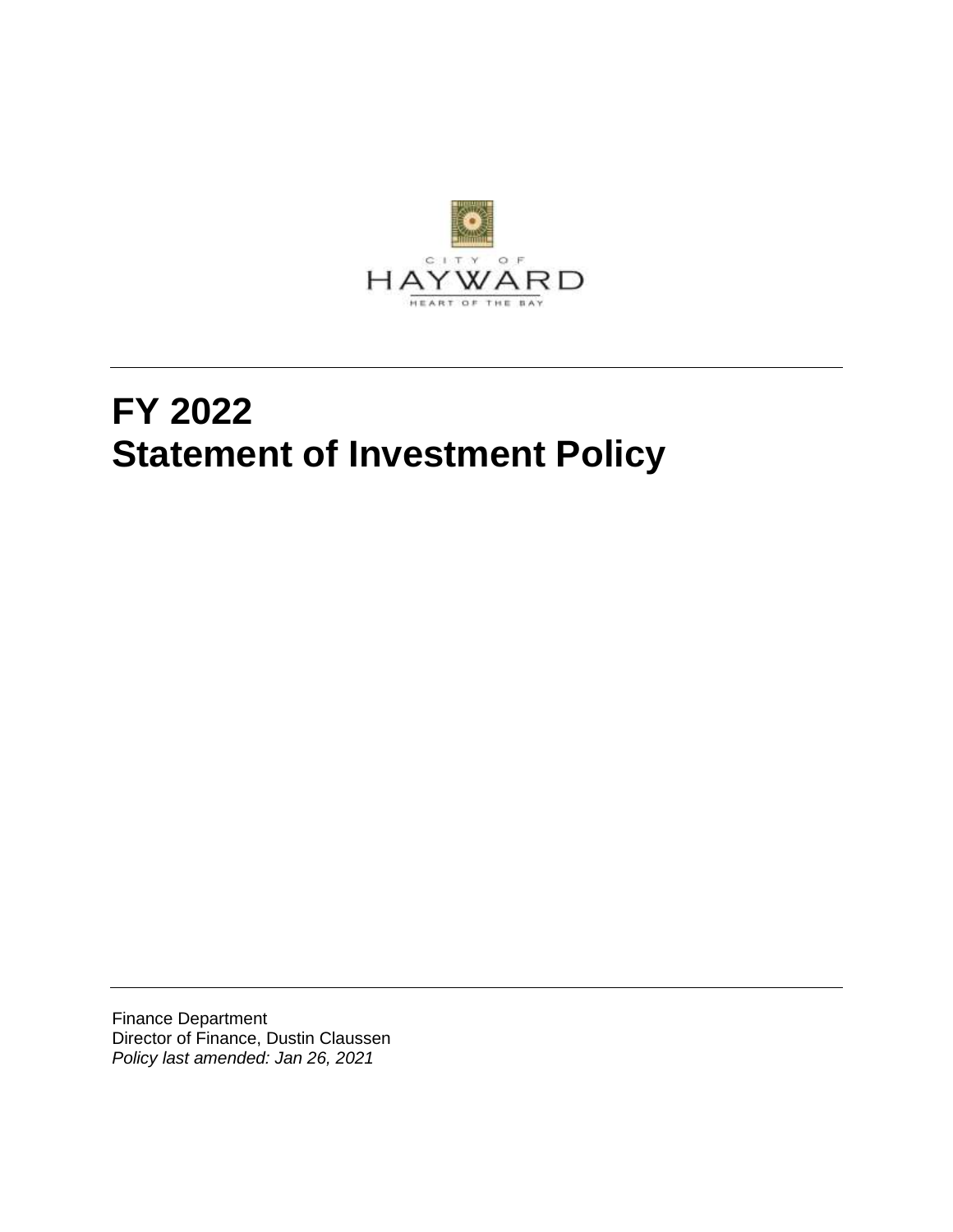

# **FY 2022 Statement of Investment Policy**

Finance Department Director of Finance, Dustin Claussen *Policy last amended: Jan 26, 2021*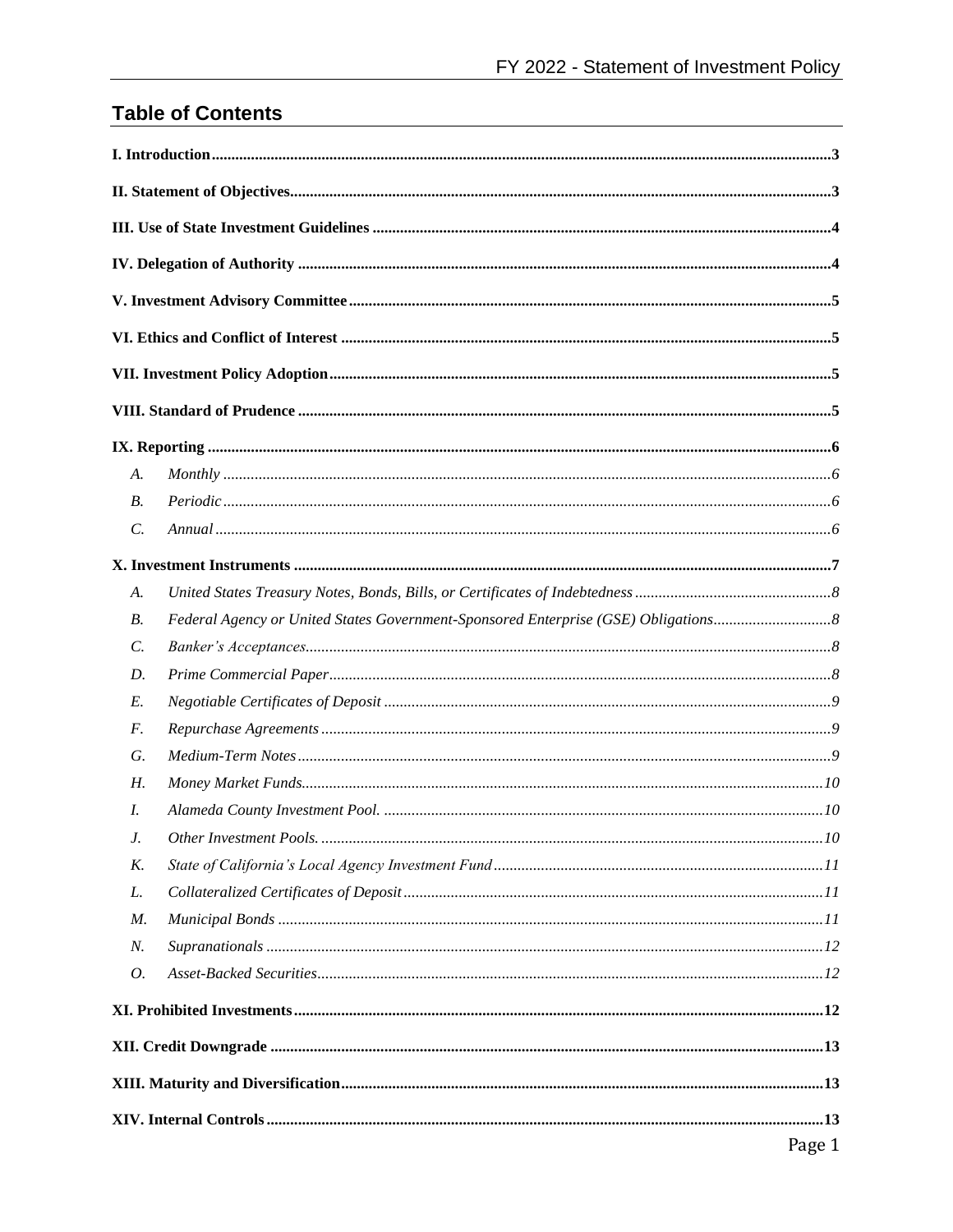# **Table of Contents**

| A.              |        |
|-----------------|--------|
| В.              |        |
| $\mathcal{C}$ . |        |
|                 |        |
| A.              |        |
| <b>B.</b>       |        |
| $\mathcal{C}$ . |        |
| D.              |        |
| E.              |        |
| F.              |        |
| G.              |        |
| Н.              |        |
| I.              |        |
| J.              |        |
| K.              |        |
| L.              |        |
| М.              |        |
| N.              |        |
| 0.              |        |
|                 |        |
|                 |        |
|                 |        |
|                 |        |
|                 | Page 1 |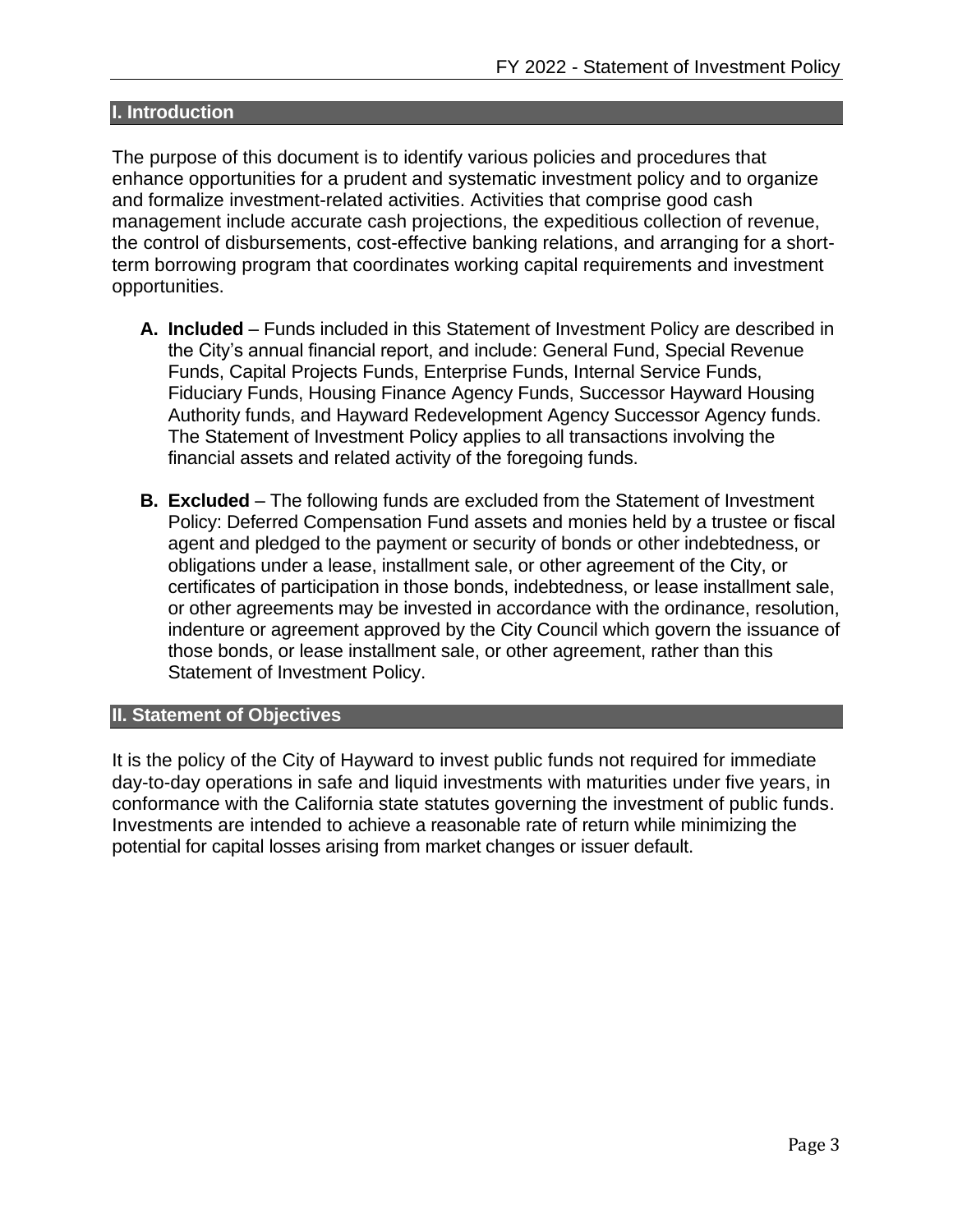## <span id="page-3-0"></span>**I. Introduction**

The purpose of this document is to identify various policies and procedures that enhance opportunities for a prudent and systematic investment policy and to organize and formalize investment-related activities. Activities that comprise good cash management include accurate cash projections, the expeditious collection of revenue, the control of disbursements, cost-effective banking relations, and arranging for a shortterm borrowing program that coordinates working capital requirements and investment opportunities.

- **A. Included** Funds included in this Statement of Investment Policy are described in the City's annual financial report, and include: General Fund, Special Revenue Funds, Capital Projects Funds, Enterprise Funds, Internal Service Funds, Fiduciary Funds, Housing Finance Agency Funds, Successor Hayward Housing Authority funds, and Hayward Redevelopment Agency Successor Agency funds. The Statement of Investment Policy applies to all transactions involving the financial assets and related activity of the foregoing funds.
- **B. Excluded** The following funds are excluded from the Statement of Investment Policy: Deferred Compensation Fund assets and monies held by a trustee or fiscal agent and pledged to the payment or security of bonds or other indebtedness, or obligations under a lease, installment sale, or other agreement of the City, or certificates of participation in those bonds, indebtedness, or lease installment sale, or other agreements may be invested in accordance with the ordinance, resolution, indenture or agreement approved by the City Council which govern the issuance of those bonds, or lease installment sale, or other agreement, rather than this Statement of Investment Policy.

#### <span id="page-3-1"></span>**II. Statement of Objectives**

It is the policy of the City of Hayward to invest public funds not required for immediate day-to-day operations in safe and liquid investments with maturities under five years, in conformance with the California state statutes governing the investment of public funds. Investments are intended to achieve a reasonable rate of return while minimizing the potential for capital losses arising from market changes or issuer default.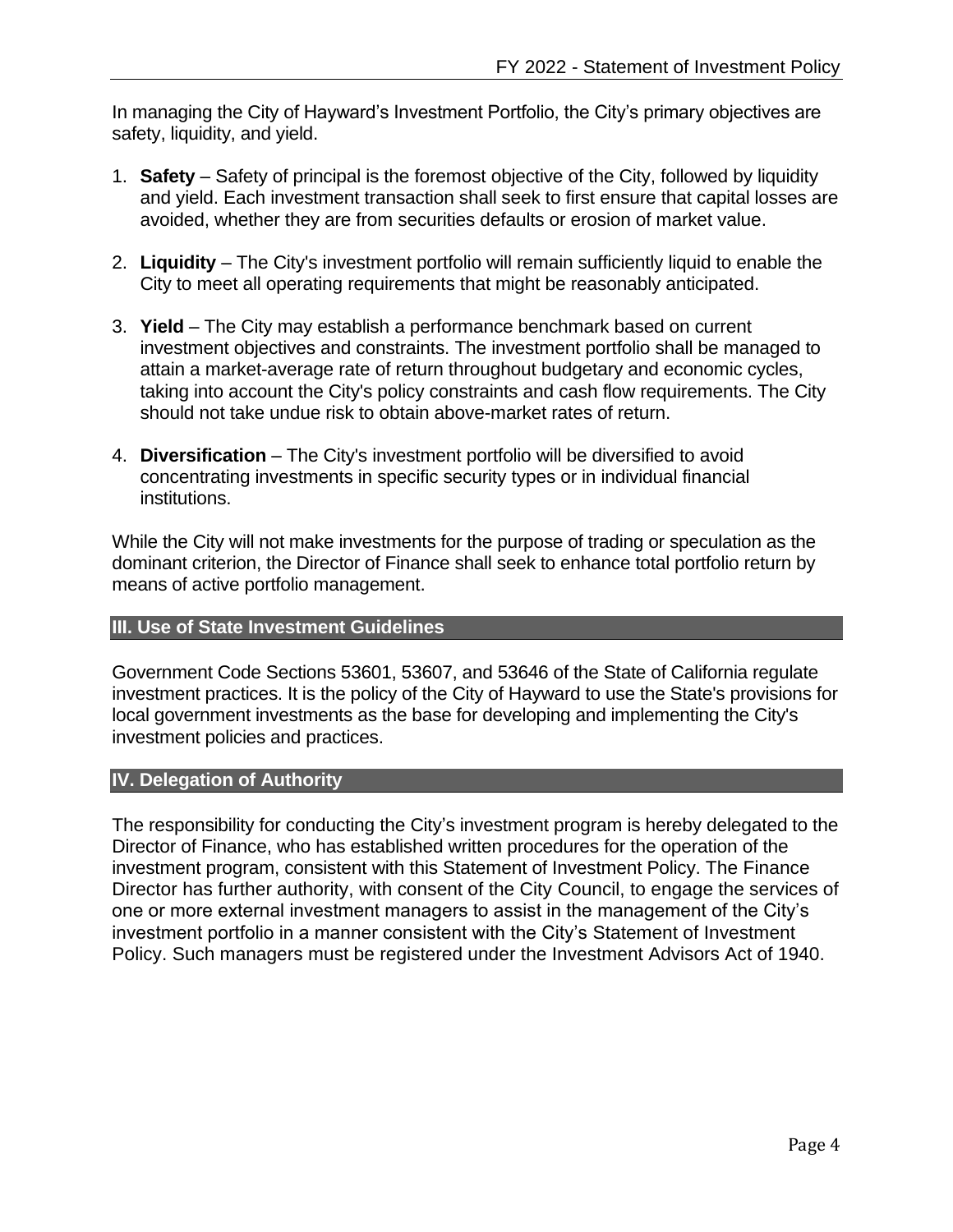In managing the City of Hayward's Investment Portfolio, the City's primary objectives are safety, liquidity, and yield.

- 1. **Safety** Safety of principal is the foremost objective of the City, followed by liquidity and yield. Each investment transaction shall seek to first ensure that capital losses are avoided, whether they are from securities defaults or erosion of market value.
- 2. **Liquidity** The City's investment portfolio will remain sufficiently liquid to enable the City to meet all operating requirements that might be reasonably anticipated.
- 3. **Yield** The City may establish a performance benchmark based on current investment objectives and constraints. The investment portfolio shall be managed to attain a market-average rate of return throughout budgetary and economic cycles, taking into account the City's policy constraints and cash flow requirements. The City should not take undue risk to obtain above-market rates of return.
- 4. **Diversification** The City's investment portfolio will be diversified to avoid concentrating investments in specific security types or in individual financial institutions.

While the City will not make investments for the purpose of trading or speculation as the dominant criterion, the Director of Finance shall seek to enhance total portfolio return by means of active portfolio management.

## <span id="page-4-0"></span>**III. Use of State Investment Guidelines**

Government Code Sections 53601, 53607, and 53646 of the State of California regulate investment practices. It is the policy of the City of Hayward to use the State's provisions for local government investments as the base for developing and implementing the City's investment policies and practices.

#### <span id="page-4-1"></span>**IV. Delegation of Authority**

The responsibility for conducting the City's investment program is hereby delegated to the Director of Finance, who has established written procedures for the operation of the investment program, consistent with this Statement of Investment Policy. The Finance Director has further authority, with consent of the City Council, to engage the services of one or more external investment managers to assist in the management of the City's investment portfolio in a manner consistent with the City's Statement of Investment Policy. Such managers must be registered under the Investment Advisors Act of 1940.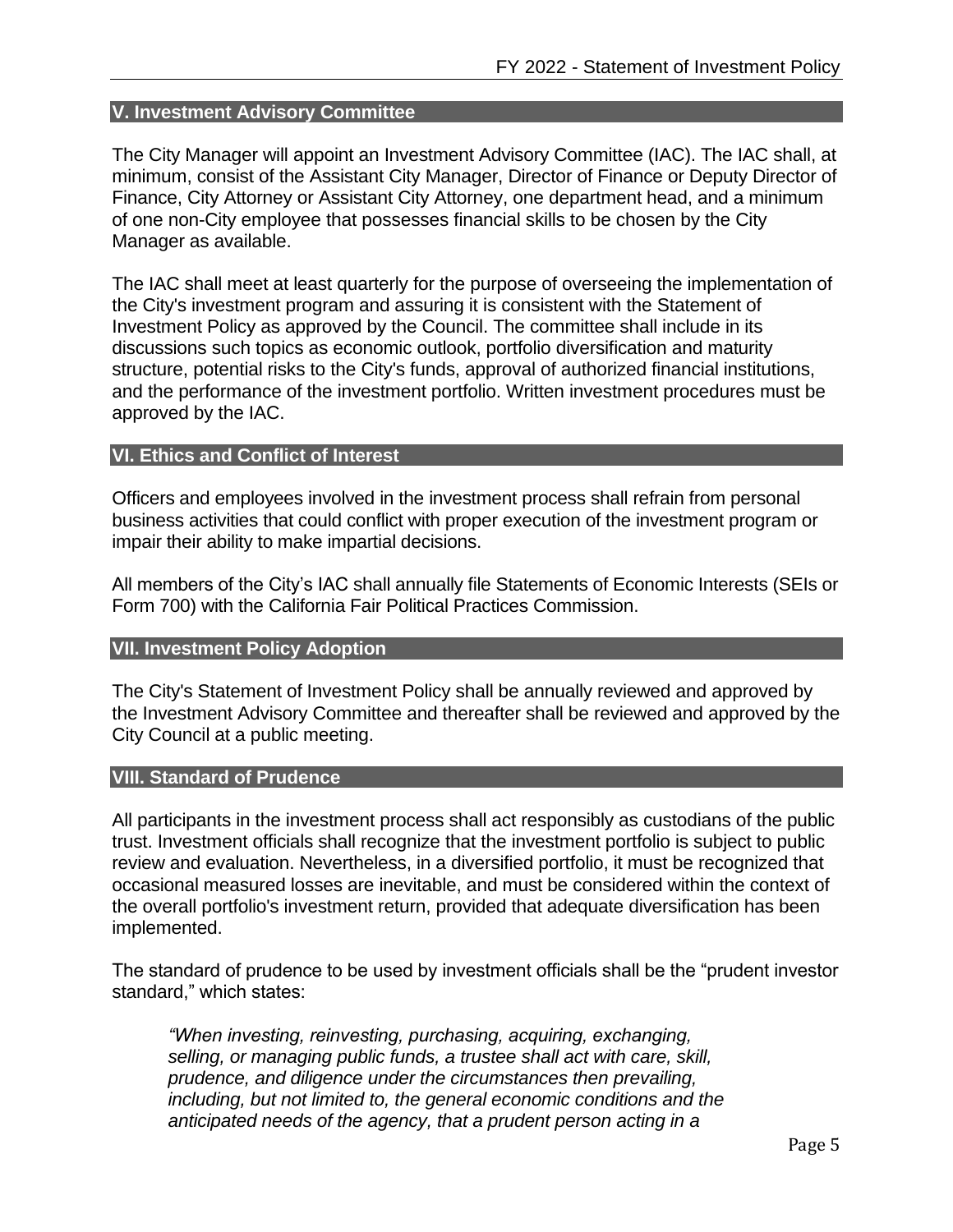#### <span id="page-5-0"></span>**V. Investment Advisory Committee**

The City Manager will appoint an Investment Advisory Committee (IAC). The IAC shall, at minimum, consist of the Assistant City Manager, Director of Finance or Deputy Director of Finance, City Attorney or Assistant City Attorney, one department head, and a minimum of one non-City employee that possesses financial skills to be chosen by the City Manager as available.

The IAC shall meet at least quarterly for the purpose of overseeing the implementation of the City's investment program and assuring it is consistent with the Statement of Investment Policy as approved by the Council. The committee shall include in its discussions such topics as economic outlook, portfolio diversification and maturity structure, potential risks to the City's funds, approval of authorized financial institutions, and the performance of the investment portfolio. Written investment procedures must be approved by the IAC.

#### <span id="page-5-1"></span>**VI. Ethics and Conflict of Interest**

Officers and employees involved in the investment process shall refrain from personal business activities that could conflict with proper execution of the investment program or impair their ability to make impartial decisions.

All members of the City's IAC shall annually file Statements of Economic Interests (SEIs or Form 700) with the California Fair Political Practices Commission.

#### <span id="page-5-2"></span>**VII. Investment Policy Adoption**

The City's Statement of Investment Policy shall be annually reviewed and approved by the Investment Advisory Committee and thereafter shall be reviewed and approved by the City Council at a public meeting.

#### <span id="page-5-3"></span>**VIII. Standard of Prudence**

All participants in the investment process shall act responsibly as custodians of the public trust. Investment officials shall recognize that the investment portfolio is subject to public review and evaluation. Nevertheless, in a diversified portfolio, it must be recognized that occasional measured losses are inevitable, and must be considered within the context of the overall portfolio's investment return, provided that adequate diversification has been implemented.

The standard of prudence to be used by investment officials shall be the "prudent investor standard," which states:

*"When investing, reinvesting, purchasing, acquiring, exchanging, selling, or managing public funds, a trustee shall act with care, skill, prudence, and diligence under the circumstances then prevailing, including, but not limited to, the general economic conditions and the anticipated needs of the agency, that a prudent person acting in a*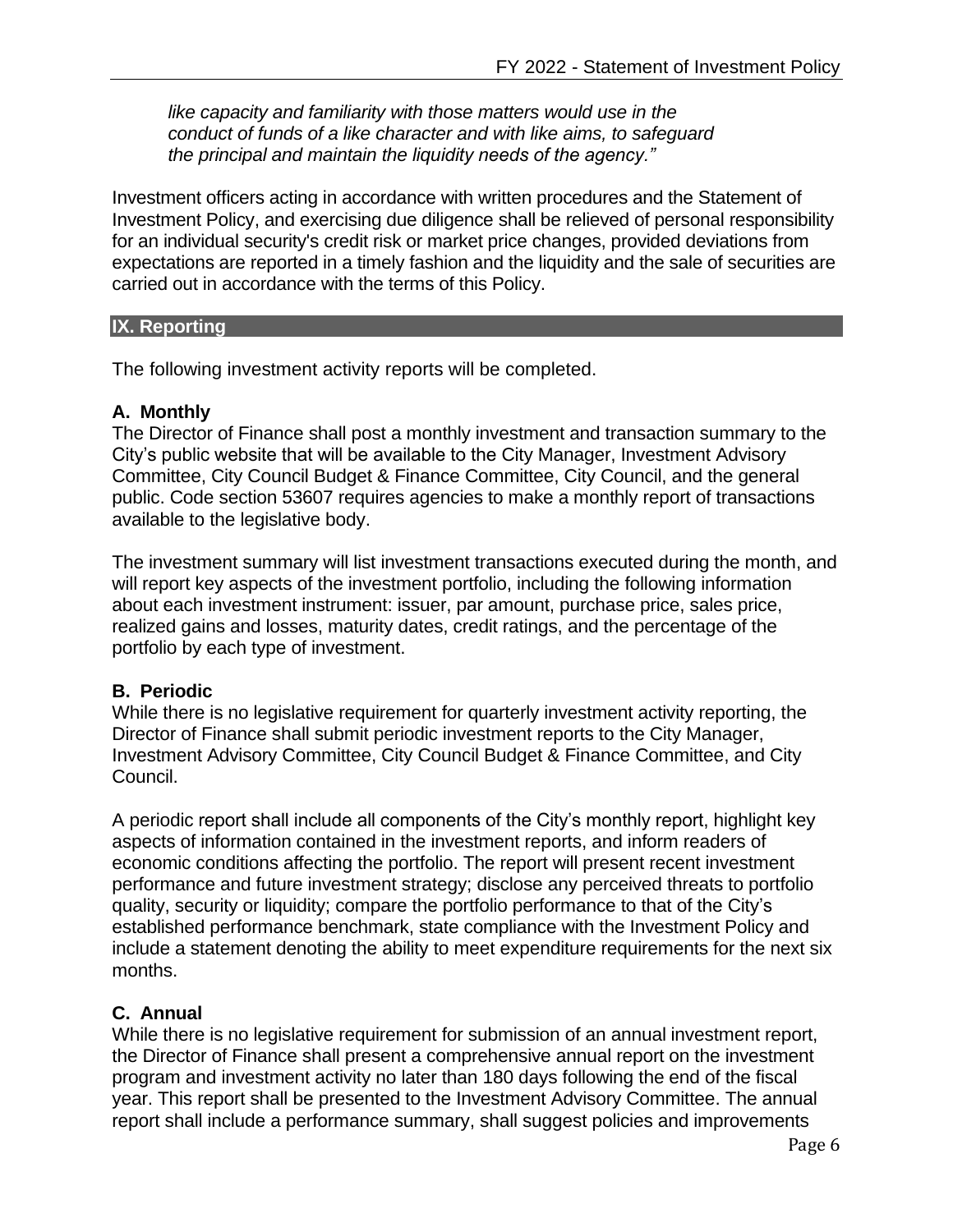*like capacity and familiarity with those matters would use in the conduct of funds of a like character and with like aims, to safeguard the principal and maintain the liquidity needs of the agency."*

Investment officers acting in accordance with written procedures and the Statement of Investment Policy, and exercising due diligence shall be relieved of personal responsibility for an individual security's credit risk or market price changes, provided deviations from expectations are reported in a timely fashion and the liquidity and the sale of securities are carried out in accordance with the terms of this Policy.

#### <span id="page-6-0"></span>**IX. Reporting**

The following investment activity reports will be completed.

#### <span id="page-6-1"></span>**A. Monthly**

The Director of Finance shall post a monthly investment and transaction summary to the City's public website that will be available to the City Manager, Investment Advisory Committee, City Council Budget & Finance Committee, City Council, and the general public. Code section 53607 requires agencies to make a monthly report of transactions available to the legislative body.

The investment summary will list investment transactions executed during the month, and will report key aspects of the investment portfolio, including the following information about each investment instrument: issuer, par amount, purchase price, sales price, realized gains and losses, maturity dates, credit ratings, and the percentage of the portfolio by each type of investment.

#### <span id="page-6-2"></span>**B. Periodic**

While there is no legislative requirement for quarterly investment activity reporting, the Director of Finance shall submit periodic investment reports to the City Manager, Investment Advisory Committee, City Council Budget & Finance Committee, and City Council.

A periodic report shall include all components of the City's monthly report, highlight key aspects of information contained in the investment reports, and inform readers of economic conditions affecting the portfolio. The report will present recent investment performance and future investment strategy; disclose any perceived threats to portfolio quality, security or liquidity; compare the portfolio performance to that of the City's established performance benchmark, state compliance with the Investment Policy and include a statement denoting the ability to meet expenditure requirements for the next six months.

#### <span id="page-6-3"></span>**C. Annual**

While there is no legislative requirement for submission of an annual investment report, the Director of Finance shall present a comprehensive annual report on the investment program and investment activity no later than 180 days following the end of the fiscal year. This report shall be presented to the Investment Advisory Committee. The annual report shall include a performance summary, shall suggest policies and improvements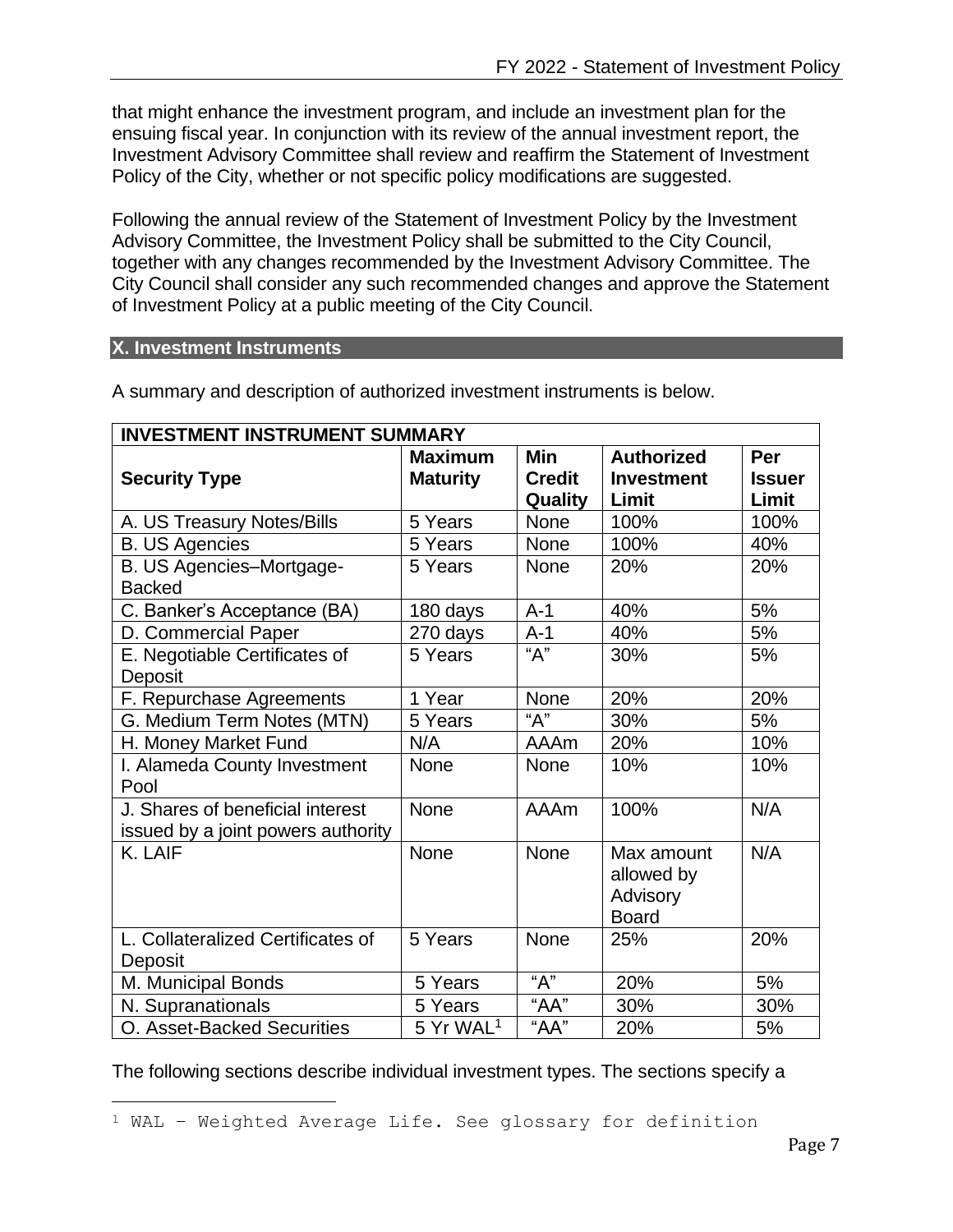that might enhance the investment program, and include an investment plan for the ensuing fiscal year. In conjunction with its review of the annual investment report, the Investment Advisory Committee shall review and reaffirm the Statement of Investment Policy of the City, whether or not specific policy modifications are suggested.

Following the annual review of the Statement of Investment Policy by the Investment Advisory Committee, the Investment Policy shall be submitted to the City Council, together with any changes recommended by the Investment Advisory Committee. The City Council shall consider any such recommended changes and approve the Statement of Investment Policy at a public meeting of the City Council.

## <span id="page-7-0"></span>**X. Investment Instruments**

| <b>INVESTMENT INSTRUMENT SUMMARY</b>                                   |                                   |                                        |                                                      |                               |  |
|------------------------------------------------------------------------|-----------------------------------|----------------------------------------|------------------------------------------------------|-------------------------------|--|
| <b>Security Type</b>                                                   | <b>Maximum</b><br><b>Maturity</b> | <b>Min</b><br><b>Credit</b><br>Quality | <b>Authorized</b><br><b>Investment</b><br>Limit      | Per<br><b>Issuer</b><br>Limit |  |
| A. US Treasury Notes/Bills                                             | 5 Years                           | None                                   | 100%                                                 | 100%                          |  |
| <b>B. US Agencies</b>                                                  | 5 Years                           | <b>None</b>                            | 100%                                                 | 40%                           |  |
| B. US Agencies-Mortgage-<br><b>Backed</b>                              | 5 Years                           | <b>None</b>                            | 20%                                                  | 20%                           |  |
| C. Banker's Acceptance (BA)                                            | 180 days                          | $A-1$                                  | 40%                                                  | 5%                            |  |
| D. Commercial Paper                                                    | 270 days                          | $A-1$                                  | 40%                                                  | 5%                            |  |
| E. Negotiable Certificates of<br>Deposit                               | 5 Years                           | "A"                                    | 30%                                                  | 5%                            |  |
| F. Repurchase Agreements                                               | 1 Year                            | None                                   | 20%                                                  | 20%                           |  |
| G. Medium Term Notes (MTN)                                             | 5 Years                           | "A"                                    | 30%                                                  | 5%                            |  |
| H. Money Market Fund                                                   | N/A                               | <b>AAAm</b>                            | 20%                                                  | 10%                           |  |
| I. Alameda County Investment<br>Pool                                   | <b>None</b>                       | None                                   | 10%                                                  | 10%                           |  |
| J. Shares of beneficial interest<br>issued by a joint powers authority | <b>None</b>                       | AAAm                                   | 100%                                                 | N/A                           |  |
| K. LAIF                                                                | <b>None</b>                       | None                                   | Max amount<br>allowed by<br>Advisory<br><b>Board</b> | N/A                           |  |
| L. Collateralized Certificates of<br>Deposit                           | 5 Years                           | None                                   | 25%                                                  | 20%                           |  |
| M. Municipal Bonds                                                     | 5 Years                           | "А"                                    | 20%                                                  | 5%                            |  |
| N. Supranationals                                                      | 5 Years                           | "AA"                                   | 30%                                                  | 30%                           |  |
| O. Asset-Backed Securities                                             | 5 Yr WAL <sup>1</sup>             | "AA"                                   | 20%                                                  | 5%                            |  |

A summary and description of authorized investment instruments is below.

The following sections describe individual investment types. The sections specify a

<sup>1</sup> WAL – Weighted Average Life. See glossary for definition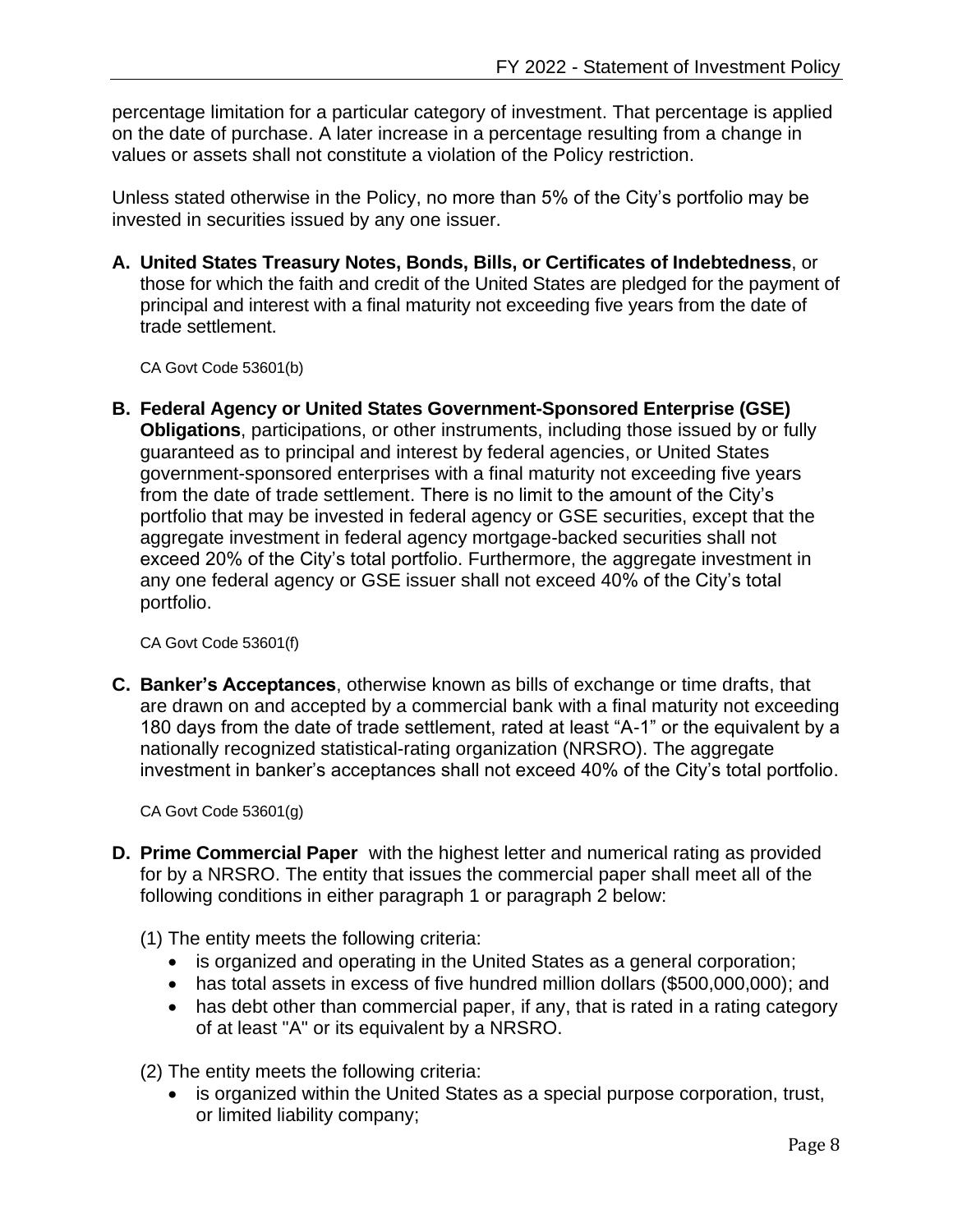percentage limitation for a particular category of investment. That percentage is applied on the date of purchase. A later increase in a percentage resulting from a change in values or assets shall not constitute a violation of the Policy restriction.

Unless stated otherwise in the Policy, no more than 5% of the City's portfolio may be invested in securities issued by any one issuer.

<span id="page-8-0"></span>**A. United States Treasury Notes, Bonds, Bills, or Certificates of Indebtedness**, or those for which the faith and credit of the United States are pledged for the payment of principal and interest with a final maturity not exceeding five years from the date of trade settlement.

CA Govt Code 53601(b)

<span id="page-8-1"></span>**B. Federal Agency or United States Government-Sponsored Enterprise (GSE) Obligations**, participations, or other instruments, including those issued by or fully guaranteed as to principal and interest by federal agencies, or United States government-sponsored enterprises with a final maturity not exceeding five years from the date of trade settlement. There is no limit to the amount of the City's portfolio that may be invested in federal agency or GSE securities, except that the aggregate investment in federal agency mortgage-backed securities shall not exceed 20% of the City's total portfolio. Furthermore, the aggregate investment in any one federal agency or GSE issuer shall not exceed 40% of the City's total portfolio.

CA Govt Code 53601(f)

<span id="page-8-2"></span>**C. Banker's Acceptances**, otherwise known as bills of exchange or time drafts, that are drawn on and accepted by a commercial bank with a final maturity not exceeding 180 days from the date of trade settlement, rated at least "A-1" or the equivalent by a nationally recognized statistical-rating organization (NRSRO). The aggregate investment in banker's acceptances shall not exceed 40% of the City's total portfolio.

CA Govt Code 53601(g)

- <span id="page-8-3"></span>**D. Prime Commercial Paper** with the highest letter and numerical rating as provided for by a NRSRO. The entity that issues the commercial paper shall meet all of the following conditions in either paragraph 1 or paragraph 2 below:
	- (1) The entity meets the following criteria:
		- is organized and operating in the United States as a general corporation;
		- has total assets in excess of five hundred million dollars (\$500,000,000); and
		- has debt other than commercial paper, if any, that is rated in a rating category of at least "A" or its equivalent by a NRSRO.

(2) The entity meets the following criteria:

• is organized within the United States as a special purpose corporation, trust, or limited liability company;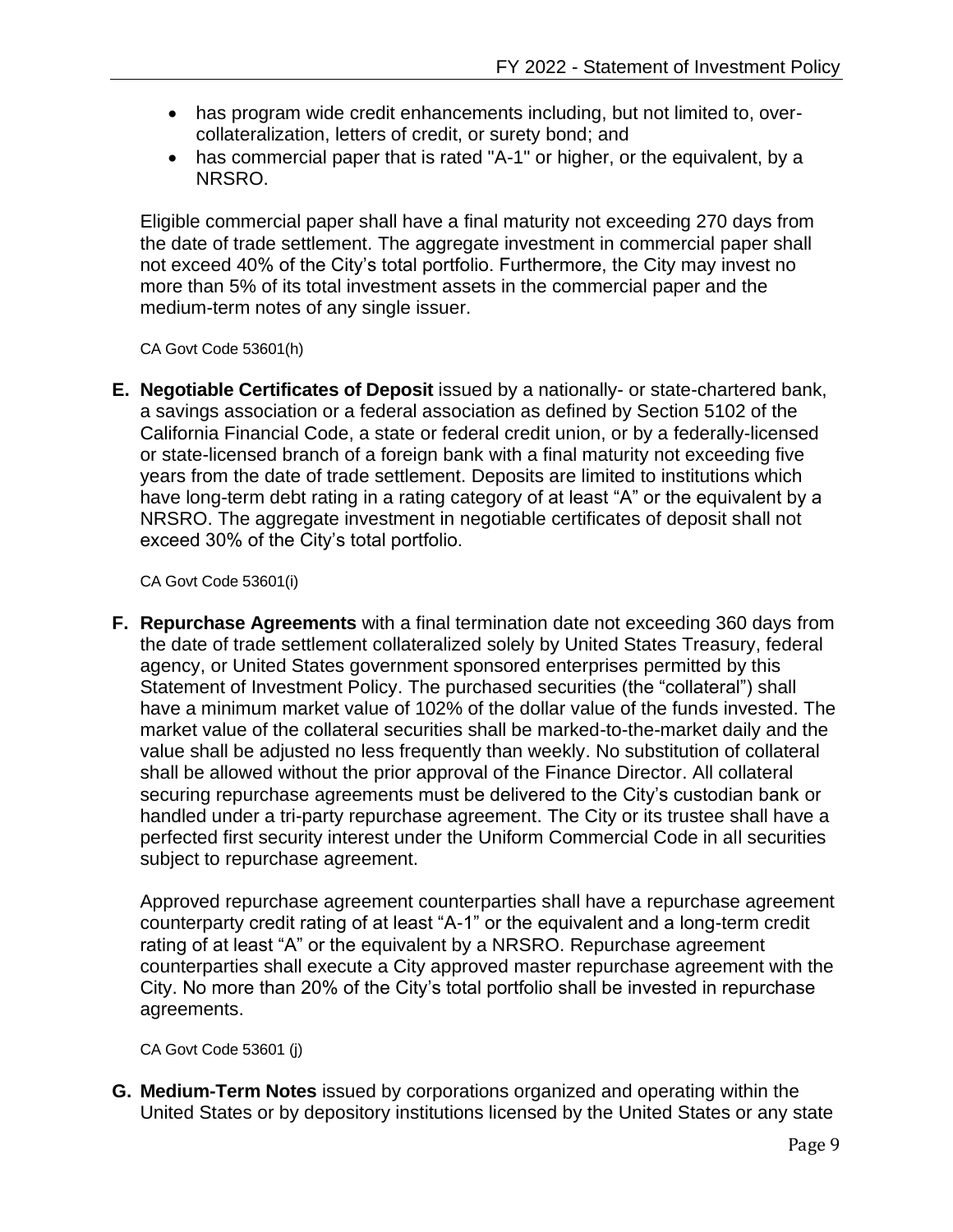- has program wide credit enhancements including, but not limited to, overcollateralization, letters of credit, or surety bond; and
- has commercial paper that is rated "A-1" or higher, or the equivalent, by a NRSRO.

Eligible commercial paper shall have a final maturity not exceeding 270 days from the date of trade settlement. The aggregate investment in commercial paper shall not exceed 40% of the City's total portfolio. Furthermore, the City may invest no more than 5% of its total investment assets in the commercial paper and the medium-term notes of any single issuer.

CA Govt Code 53601(h)

<span id="page-9-0"></span>**E. Negotiable Certificates of Deposit** issued by a nationally- or state-chartered bank, a savings association or a federal association as defined by Section 5102 of the California Financial Code, a state or federal credit union, or by a federally-licensed or state-licensed branch of a foreign bank with a final maturity not exceeding five years from the date of trade settlement. Deposits are limited to institutions which have long-term debt rating in a rating category of at least "A" or the equivalent by a NRSRO. The aggregate investment in negotiable certificates of deposit shall not exceed 30% of the City's total portfolio.

CA Govt Code 53601(i)

<span id="page-9-1"></span>**F. Repurchase Agreements** with a final termination date not exceeding 360 days from the date of trade settlement collateralized solely by United States Treasury, federal agency, or United States government sponsored enterprises permitted by this Statement of Investment Policy. The purchased securities (the "collateral") shall have a minimum market value of 102% of the dollar value of the funds invested. The market value of the collateral securities shall be marked-to-the-market daily and the value shall be adjusted no less frequently than weekly. No substitution of collateral shall be allowed without the prior approval of the Finance Director. All collateral securing repurchase agreements must be delivered to the City's custodian bank or handled under a tri-party repurchase agreement. The City or its trustee shall have a perfected first security interest under the Uniform Commercial Code in all securities subject to repurchase agreement.

Approved repurchase agreement counterparties shall have a repurchase agreement counterparty credit rating of at least "A-1" or the equivalent and a long-term credit rating of at least "A" or the equivalent by a NRSRO. Repurchase agreement counterparties shall execute a City approved master repurchase agreement with the City. No more than 20% of the City's total portfolio shall be invested in repurchase agreements.

CA Govt Code 53601 (j)

<span id="page-9-2"></span>**G. Medium-Term Notes** issued by corporations organized and operating within the United States or by depository institutions licensed by the United States or any state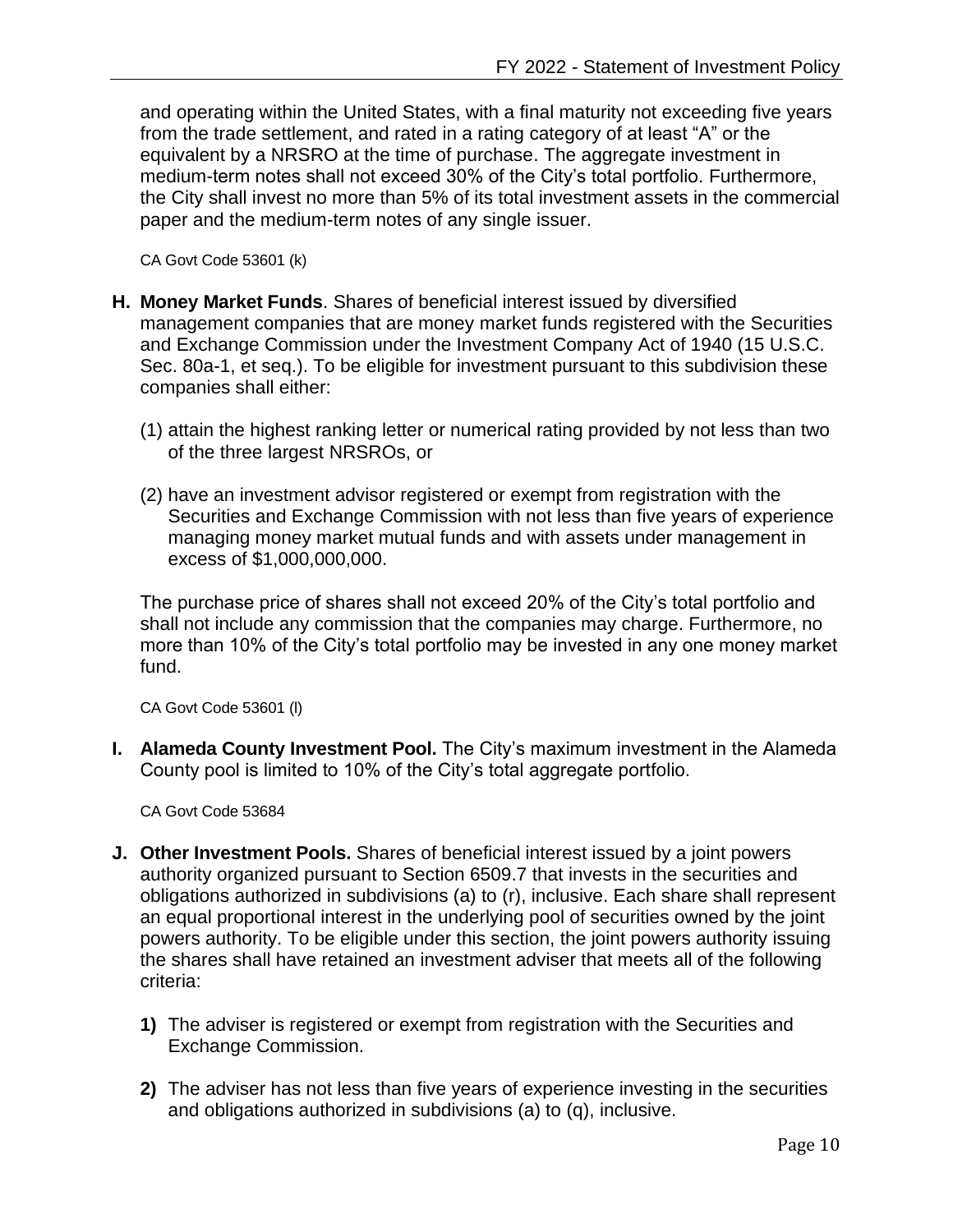and operating within the United States, with a final maturity not exceeding five years from the trade settlement, and rated in a rating category of at least "A" or the equivalent by a NRSRO at the time of purchase. The aggregate investment in medium-term notes shall not exceed 30% of the City's total portfolio. Furthermore, the City shall invest no more than 5% of its total investment assets in the commercial paper and the medium-term notes of any single issuer.

CA Govt Code 53601 (k)

- <span id="page-10-0"></span>**H. Money Market Funds**. Shares of beneficial interest issued by diversified management companies that are money market funds registered with the Securities and Exchange Commission under the Investment Company Act of 1940 (15 U.S.C. Sec. 80a-1, et seq.). To be eligible for investment pursuant to this subdivision these companies shall either:
	- (1) attain the highest ranking letter or numerical rating provided by not less than two of the three largest NRSROs, or
	- (2) have an investment advisor registered or exempt from registration with the Securities and Exchange Commission with not less than five years of experience managing money market mutual funds and with assets under management in excess of \$1,000,000,000.

The purchase price of shares shall not exceed 20% of the City's total portfolio and shall not include any commission that the companies may charge. Furthermore, no more than 10% of the City's total portfolio may be invested in any one money market fund.

CA Govt Code 53601 (l)

<span id="page-10-1"></span>**I. Alameda County Investment Pool.** The City's maximum investment in the Alameda County pool is limited to 10% of the City's total aggregate portfolio.

CA Govt Code 53684

- <span id="page-10-2"></span>**J. Other Investment Pools.** Shares of beneficial interest issued by a joint powers authority organized pursuant to Section 6509.7 that invests in the securities and obligations authorized in subdivisions (a) to (r), inclusive. Each share shall represent an equal proportional interest in the underlying pool of securities owned by the joint powers authority. To be eligible under this section, the joint powers authority issuing the shares shall have retained an investment adviser that meets all of the following criteria:
	- **1)** The adviser is registered or exempt from registration with the Securities and Exchange Commission.
	- **2)** The adviser has not less than five years of experience investing in the securities and obligations authorized in subdivisions (a) to (q), inclusive.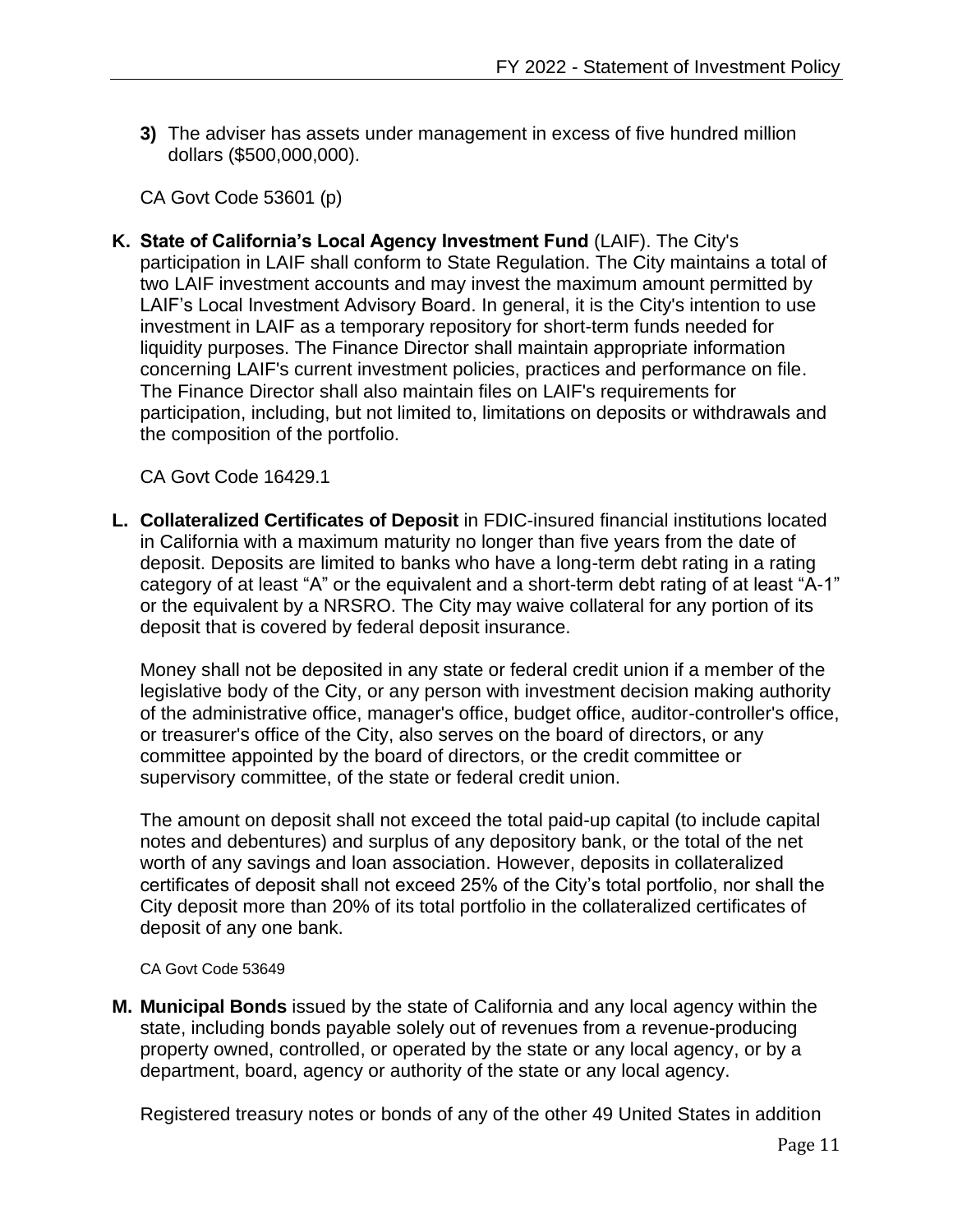**3)** The adviser has assets under management in excess of five hundred million dollars (\$500,000,000).

CA Govt Code 53601 (p)

<span id="page-11-0"></span>**K. State of California's Local Agency Investment Fund** (LAIF). The City's participation in LAIF shall conform to State Regulation. The City maintains a total of two LAIF investment accounts and may invest the maximum amount permitted by LAIF's Local Investment Advisory Board. In general, it is the City's intention to use investment in LAIF as a temporary repository for short-term funds needed for liquidity purposes. The Finance Director shall maintain appropriate information concerning LAIF's current investment policies, practices and performance on file. The Finance Director shall also maintain files on LAIF's requirements for participation, including, but not limited to, limitations on deposits or withdrawals and the composition of the portfolio.

CA Govt Code 16429.1

<span id="page-11-1"></span>**L. Collateralized Certificates of Deposit** in FDIC-insured financial institutions located in California with a maximum maturity no longer than five years from the date of deposit. Deposits are limited to banks who have a long-term debt rating in a rating category of at least "A" or the equivalent and a short-term debt rating of at least "A-1" or the equivalent by a NRSRO. The City may waive collateral for any portion of its deposit that is covered by federal deposit insurance.

Money shall not be deposited in any state or federal credit union if a member of the legislative body of the City, or any person with investment decision making authority of the administrative office, manager's office, budget office, auditor-controller's office, or treasurer's office of the City, also serves on the board of directors, or any committee appointed by the board of directors, or the credit committee or supervisory committee, of the state or federal credit union.

The amount on deposit shall not exceed the total paid-up capital (to include capital notes and debentures) and surplus of any depository bank, or the total of the net worth of any savings and loan association. However, deposits in collateralized certificates of deposit shall not exceed 25% of the City's total portfolio, nor shall the City deposit more than 20% of its total portfolio in the collateralized certificates of deposit of any one bank.

CA Govt Code 53649

<span id="page-11-2"></span>**M. Municipal Bonds** issued by the state of California and any local agency within the state, including bonds payable solely out of revenues from a revenue-producing property owned, controlled, or operated by the state or any local agency, or by a department, board, agency or authority of the state or any local agency.

Registered treasury notes or bonds of any of the other 49 United States in addition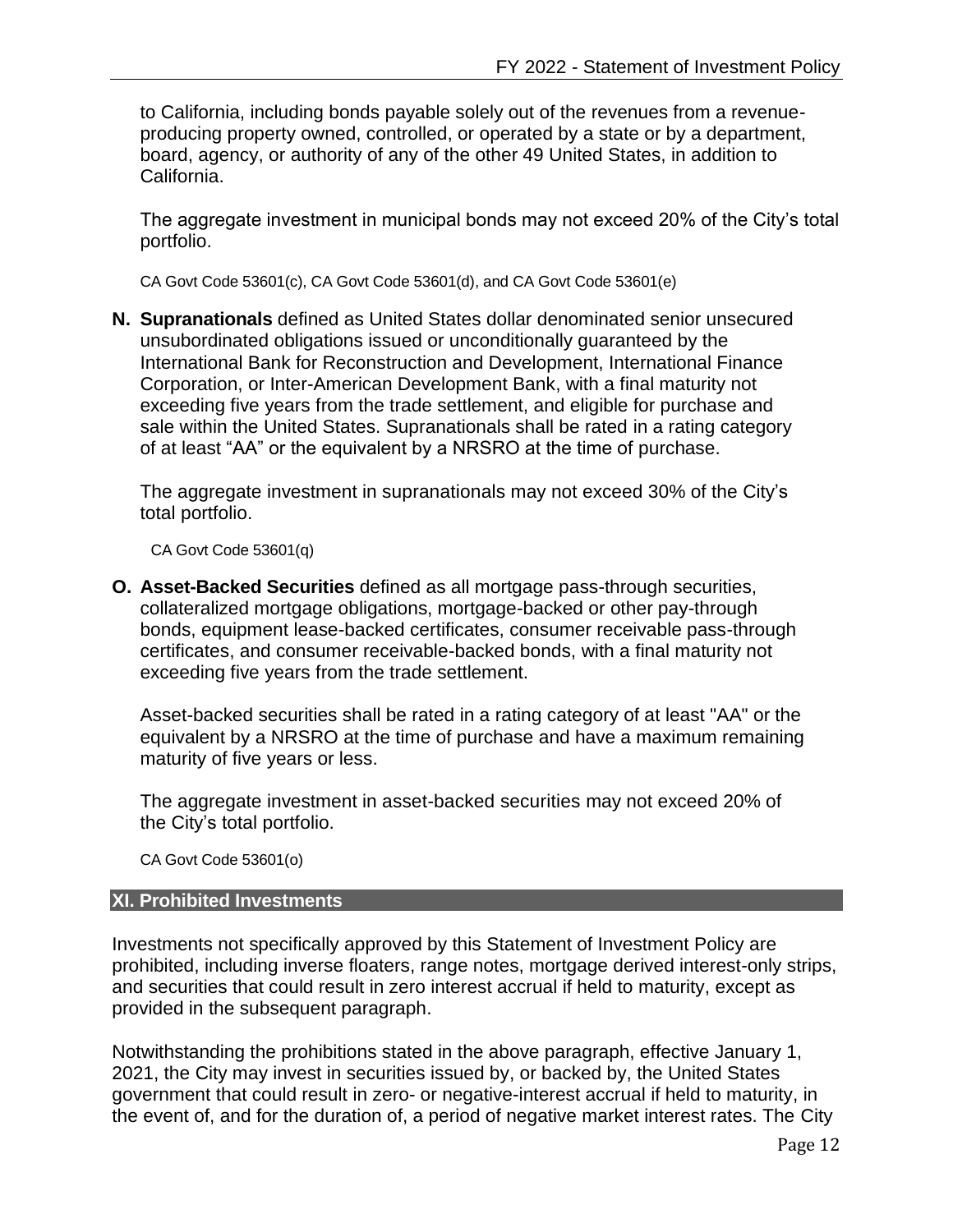to California, including bonds payable solely out of the revenues from a revenueproducing property owned, controlled, or operated by a state or by a department, board, agency, or authority of any of the other 49 United States, in addition to California.

The aggregate investment in municipal bonds may not exceed 20% of the City's total portfolio.

CA Govt Code 53601(c), CA Govt Code 53601(d), and CA Govt Code 53601(e)

<span id="page-12-0"></span>**N. Supranationals** defined as United States dollar denominated senior unsecured unsubordinated obligations issued or unconditionally guaranteed by the International Bank for Reconstruction and Development, International Finance Corporation, or Inter-American Development Bank, with a final maturity not exceeding five years from the trade settlement, and eligible for purchase and sale within the United States. Supranationals shall be rated in a rating category of at least "AA" or the equivalent by a NRSRO at the time of purchase.

The aggregate investment in supranationals may not exceed 30% of the City's total portfolio.

CA Govt Code 53601(q)

<span id="page-12-1"></span>**O. Asset-Backed Securities** defined as all mortgage pass-through securities, collateralized mortgage obligations, mortgage-backed or other pay-through bonds, equipment lease-backed certificates, consumer receivable pass-through certificates, and consumer receivable-backed bonds, with a final maturity not exceeding five years from the trade settlement.

Asset-backed securities shall be rated in a rating category of at least "AA" or the equivalent by a NRSRO at the time of purchase and have a maximum remaining maturity of five years or less.

The aggregate investment in asset-backed securities may not exceed 20% of the City's total portfolio.

CA Govt Code 53601(o)

#### <span id="page-12-2"></span>**XI. Prohibited Investments**

Investments not specifically approved by this Statement of Investment Policy are prohibited, including inverse floaters, range notes, mortgage derived interest-only strips, and securities that could result in zero interest accrual if held to maturity, except as provided in the subsequent paragraph.

Notwithstanding the prohibitions stated in the above paragraph, effective January 1, 2021, the City may invest in securities issued by, or backed by, the United States government that could result in zero- or negative-interest accrual if held to maturity, in the event of, and for the duration of, a period of negative market interest rates. The City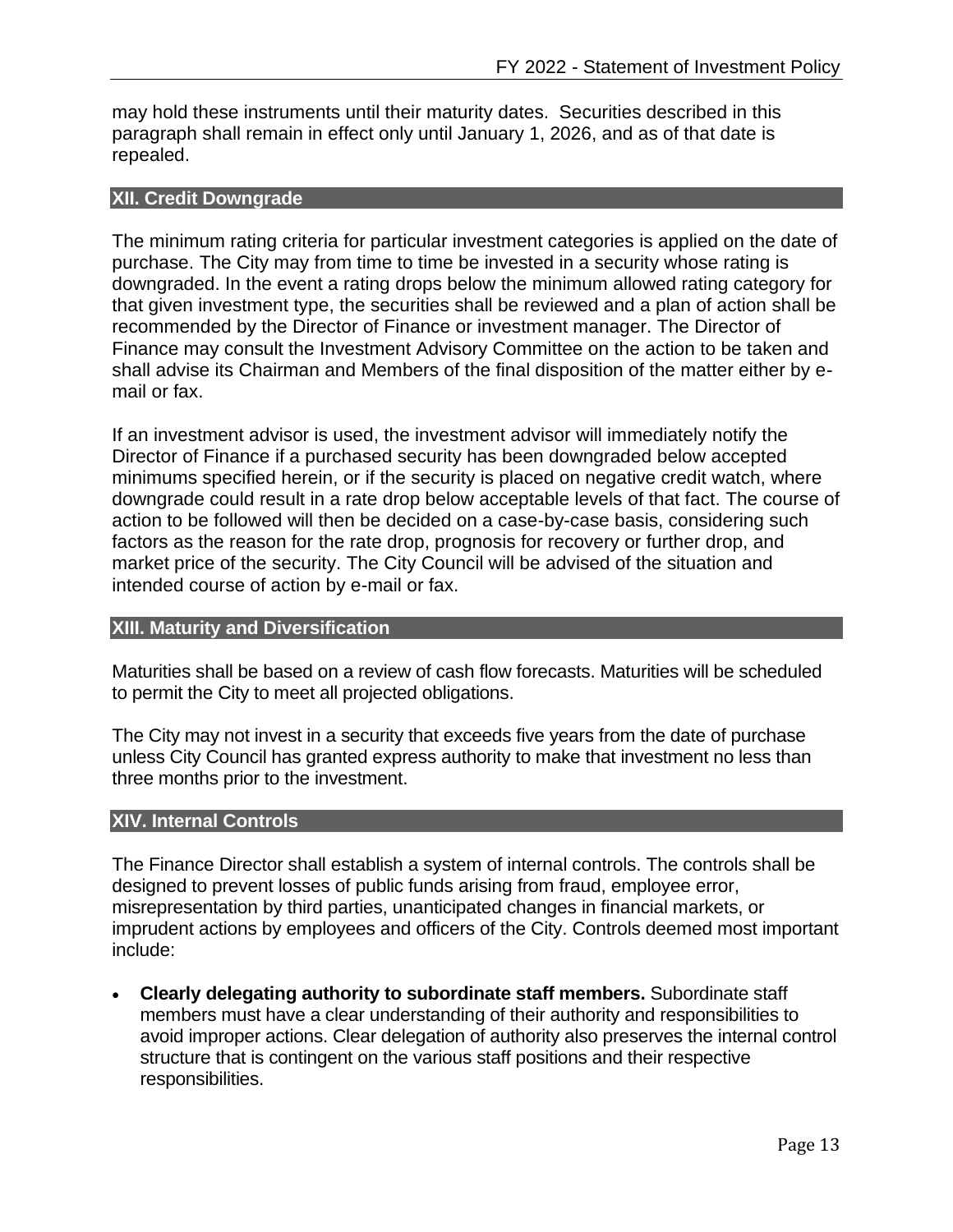may hold these instruments until their maturity dates. Securities described in this paragraph shall remain in effect only until January 1, 2026, and as of that date is repealed.

#### <span id="page-13-0"></span>**XII. Credit Downgrade**

The minimum rating criteria for particular investment categories is applied on the date of purchase. The City may from time to time be invested in a security whose rating is downgraded. In the event a rating drops below the minimum allowed rating category for that given investment type, the securities shall be reviewed and a plan of action shall be recommended by the Director of Finance or investment manager. The Director of Finance may consult the Investment Advisory Committee on the action to be taken and shall advise its Chairman and Members of the final disposition of the matter either by email or fax.

If an investment advisor is used, the investment advisor will immediately notify the Director of Finance if a purchased security has been downgraded below accepted minimums specified herein, or if the security is placed on negative credit watch, where downgrade could result in a rate drop below acceptable levels of that fact. The course of action to be followed will then be decided on a case-by-case basis, considering such factors as the reason for the rate drop, prognosis for recovery or further drop, and market price of the security. The City Council will be advised of the situation and intended course of action by e-mail or fax.

#### <span id="page-13-1"></span>**XIII. Maturity and Diversification**

Maturities shall be based on a review of cash flow forecasts. Maturities will be scheduled to permit the City to meet all projected obligations.

The City may not invest in a security that exceeds five years from the date of purchase unless City Council has granted express authority to make that investment no less than three months prior to the investment.

#### <span id="page-13-2"></span>**XIV. Internal Controls**

The Finance Director shall establish a system of internal controls. The controls shall be designed to prevent losses of public funds arising from fraud, employee error, misrepresentation by third parties, unanticipated changes in financial markets, or imprudent actions by employees and officers of the City. Controls deemed most important include:

• **Clearly delegating authority to subordinate staff members.** Subordinate staff members must have a clear understanding of their authority and responsibilities to avoid improper actions. Clear delegation of authority also preserves the internal control structure that is contingent on the various staff positions and their respective responsibilities.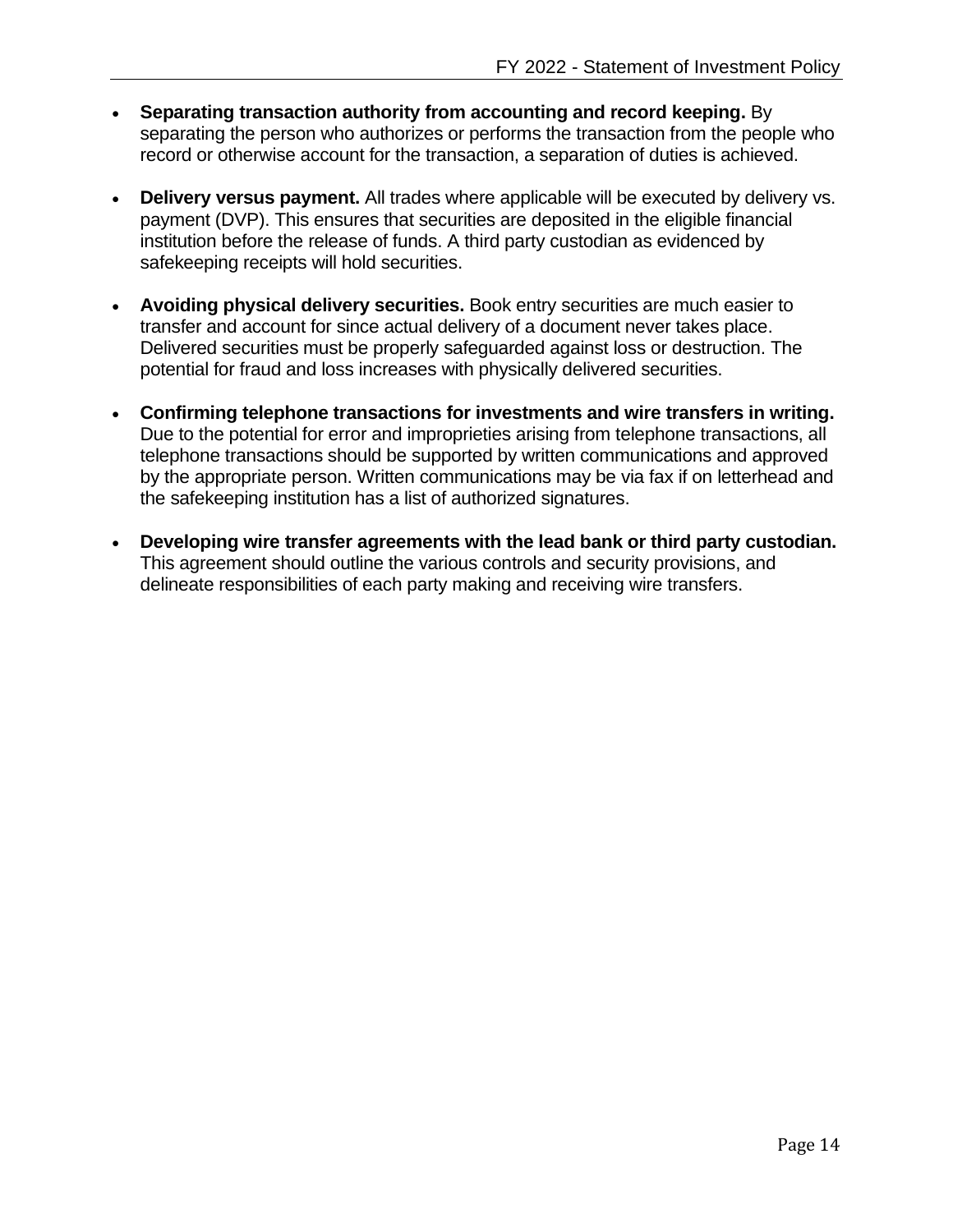- **Separating transaction authority from accounting and record keeping.** By separating the person who authorizes or performs the transaction from the people who record or otherwise account for the transaction, a separation of duties is achieved.
- **Delivery versus payment.** All trades where applicable will be executed by delivery vs. payment (DVP). This ensures that securities are deposited in the eligible financial institution before the release of funds. A third party custodian as evidenced by safekeeping receipts will hold securities.
- **Avoiding physical delivery securities.** Book entry securities are much easier to transfer and account for since actual delivery of a document never takes place. Delivered securities must be properly safeguarded against loss or destruction. The potential for fraud and loss increases with physically delivered securities.
- **Confirming telephone transactions for investments and wire transfers in writing.** Due to the potential for error and improprieties arising from telephone transactions, all telephone transactions should be supported by written communications and approved by the appropriate person. Written communications may be via fax if on letterhead and the safekeeping institution has a list of authorized signatures.
- **Developing wire transfer agreements with the lead bank or third party custodian.** This agreement should outline the various controls and security provisions, and delineate responsibilities of each party making and receiving wire transfers.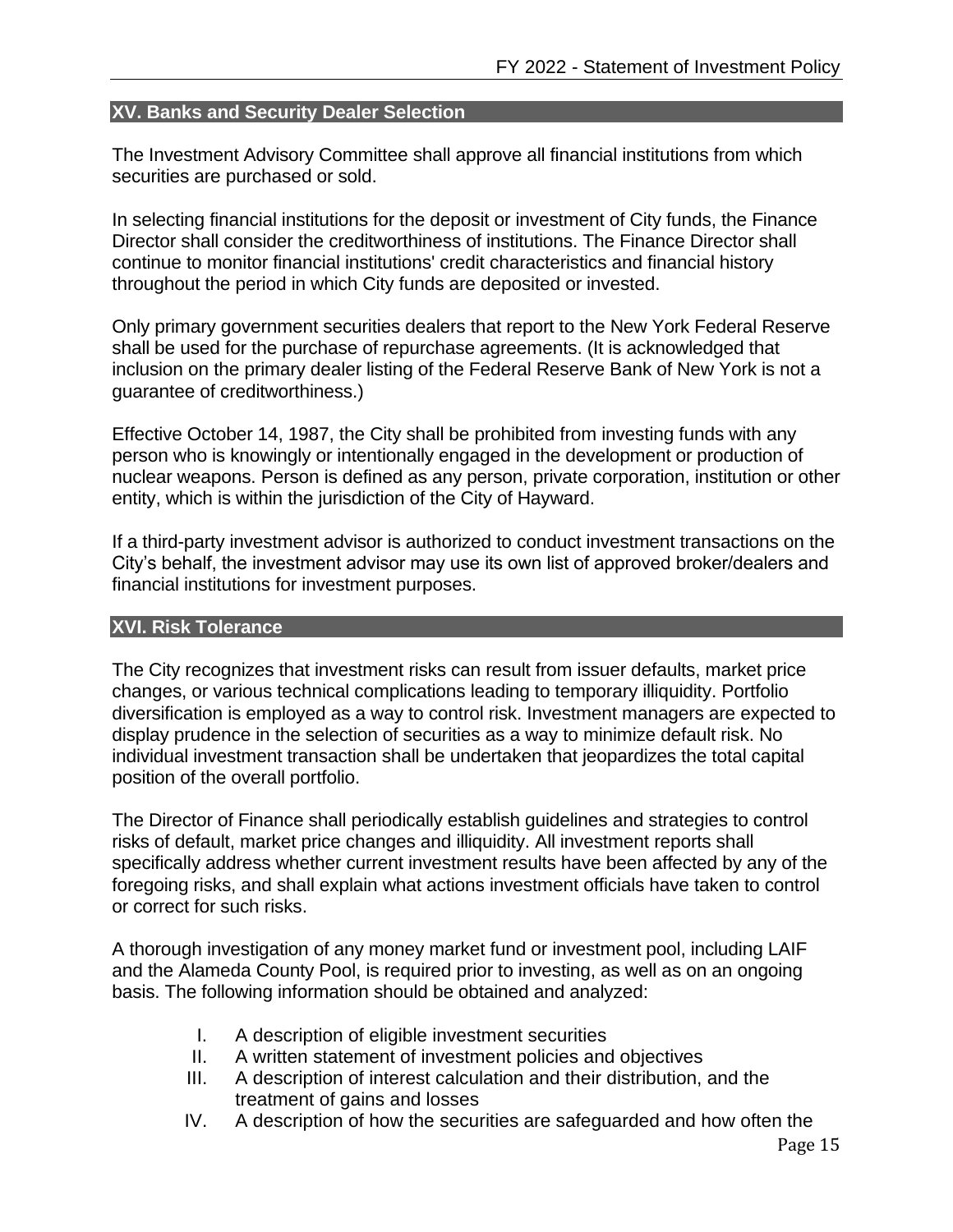## <span id="page-15-0"></span>**XV. Banks and Security Dealer Selection**

The Investment Advisory Committee shall approve all financial institutions from which securities are purchased or sold.

In selecting financial institutions for the deposit or investment of City funds, the Finance Director shall consider the creditworthiness of institutions. The Finance Director shall continue to monitor financial institutions' credit characteristics and financial history throughout the period in which City funds are deposited or invested.

Only primary government securities dealers that report to the New York Federal Reserve shall be used for the purchase of repurchase agreements. (It is acknowledged that inclusion on the primary dealer listing of the Federal Reserve Bank of New York is not a guarantee of creditworthiness.)

Effective October 14, 1987, the City shall be prohibited from investing funds with any person who is knowingly or intentionally engaged in the development or production of nuclear weapons. Person is defined as any person, private corporation, institution or other entity, which is within the jurisdiction of the City of Hayward.

If a third-party investment advisor is authorized to conduct investment transactions on the City's behalf, the investment advisor may use its own list of approved broker/dealers and financial institutions for investment purposes.

#### <span id="page-15-1"></span>**XVI. Risk Tolerance**

The City recognizes that investment risks can result from issuer defaults, market price changes, or various technical complications leading to temporary illiquidity. Portfolio diversification is employed as a way to control risk. Investment managers are expected to display prudence in the selection of securities as a way to minimize default risk. No individual investment transaction shall be undertaken that jeopardizes the total capital position of the overall portfolio.

The Director of Finance shall periodically establish guidelines and strategies to control risks of default, market price changes and illiquidity. All investment reports shall specifically address whether current investment results have been affected by any of the foregoing risks, and shall explain what actions investment officials have taken to control or correct for such risks.

A thorough investigation of any money market fund or investment pool, including LAIF and the Alameda County Pool, is required prior to investing, as well as on an ongoing basis. The following information should be obtained and analyzed:

- I. A description of eligible investment securities
- II. A written statement of investment policies and objectives
- III. A description of interest calculation and their distribution, and the treatment of gains and losses
- IV. A description of how the securities are safeguarded and how often the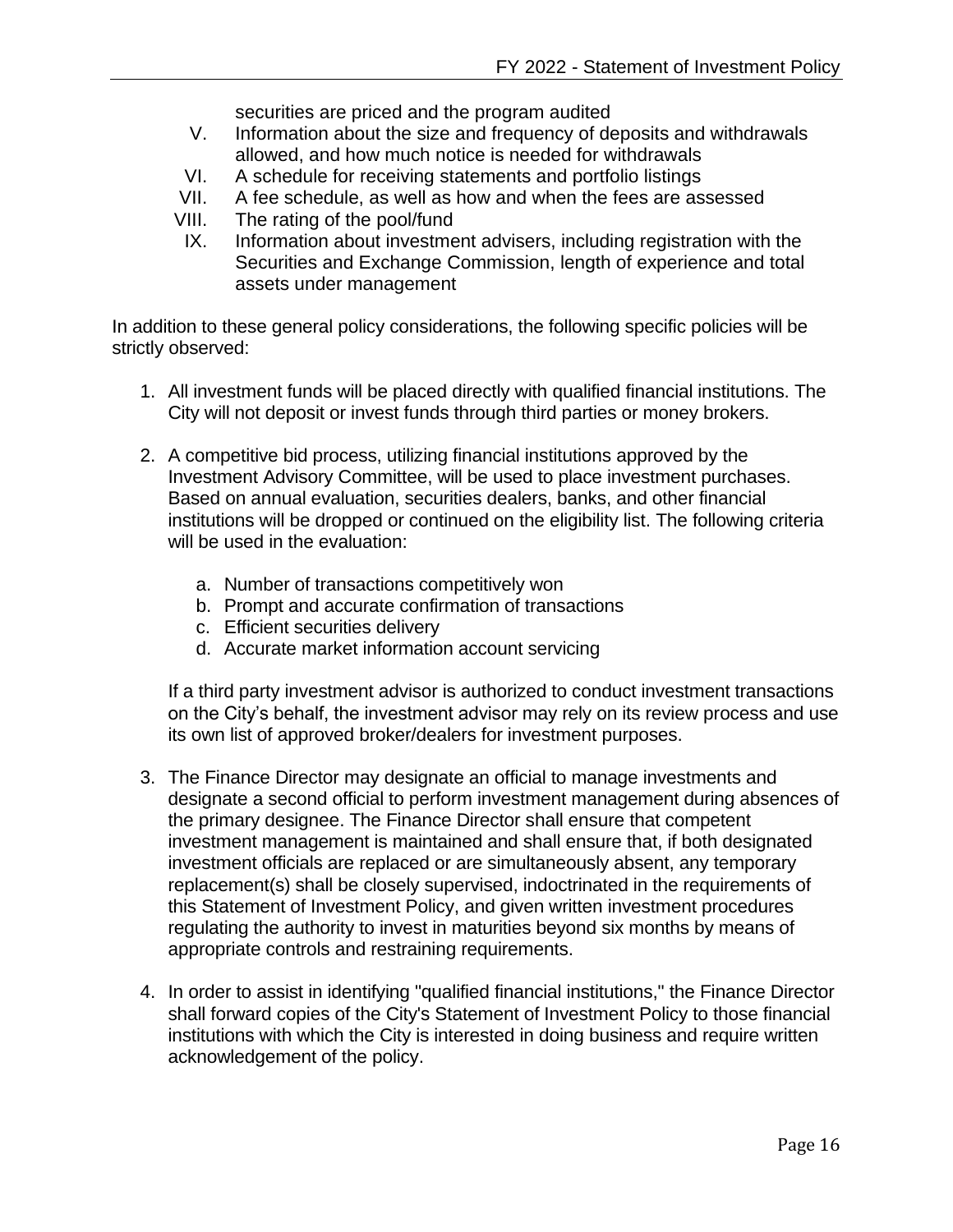securities are priced and the program audited

- V. Information about the size and frequency of deposits and withdrawals allowed, and how much notice is needed for withdrawals
- VI. A schedule for receiving statements and portfolio listings
- VII. A fee schedule, as well as how and when the fees are assessed
- VIII. The rating of the pool/fund
- IX. Information about investment advisers, including registration with the Securities and Exchange Commission, length of experience and total assets under management

In addition to these general policy considerations, the following specific policies will be strictly observed:

- 1. All investment funds will be placed directly with qualified financial institutions. The City will not deposit or invest funds through third parties or money brokers.
- 2. A competitive bid process, utilizing financial institutions approved by the Investment Advisory Committee, will be used to place investment purchases. Based on annual evaluation, securities dealers, banks, and other financial institutions will be dropped or continued on the eligibility list. The following criteria will be used in the evaluation:
	- a. Number of transactions competitively won
	- b. Prompt and accurate confirmation of transactions
	- c. Efficient securities delivery
	- d. Accurate market information account servicing

If a third party investment advisor is authorized to conduct investment transactions on the City's behalf, the investment advisor may rely on its review process and use its own list of approved broker/dealers for investment purposes.

- 3. The Finance Director may designate an official to manage investments and designate a second official to perform investment management during absences of the primary designee. The Finance Director shall ensure that competent investment management is maintained and shall ensure that, if both designated investment officials are replaced or are simultaneously absent, any temporary replacement(s) shall be closely supervised, indoctrinated in the requirements of this Statement of Investment Policy, and given written investment procedures regulating the authority to invest in maturities beyond six months by means of appropriate controls and restraining requirements.
- 4. In order to assist in identifying "qualified financial institutions," the Finance Director shall forward copies of the City's Statement of Investment Policy to those financial institutions with which the City is interested in doing business and require written acknowledgement of the policy.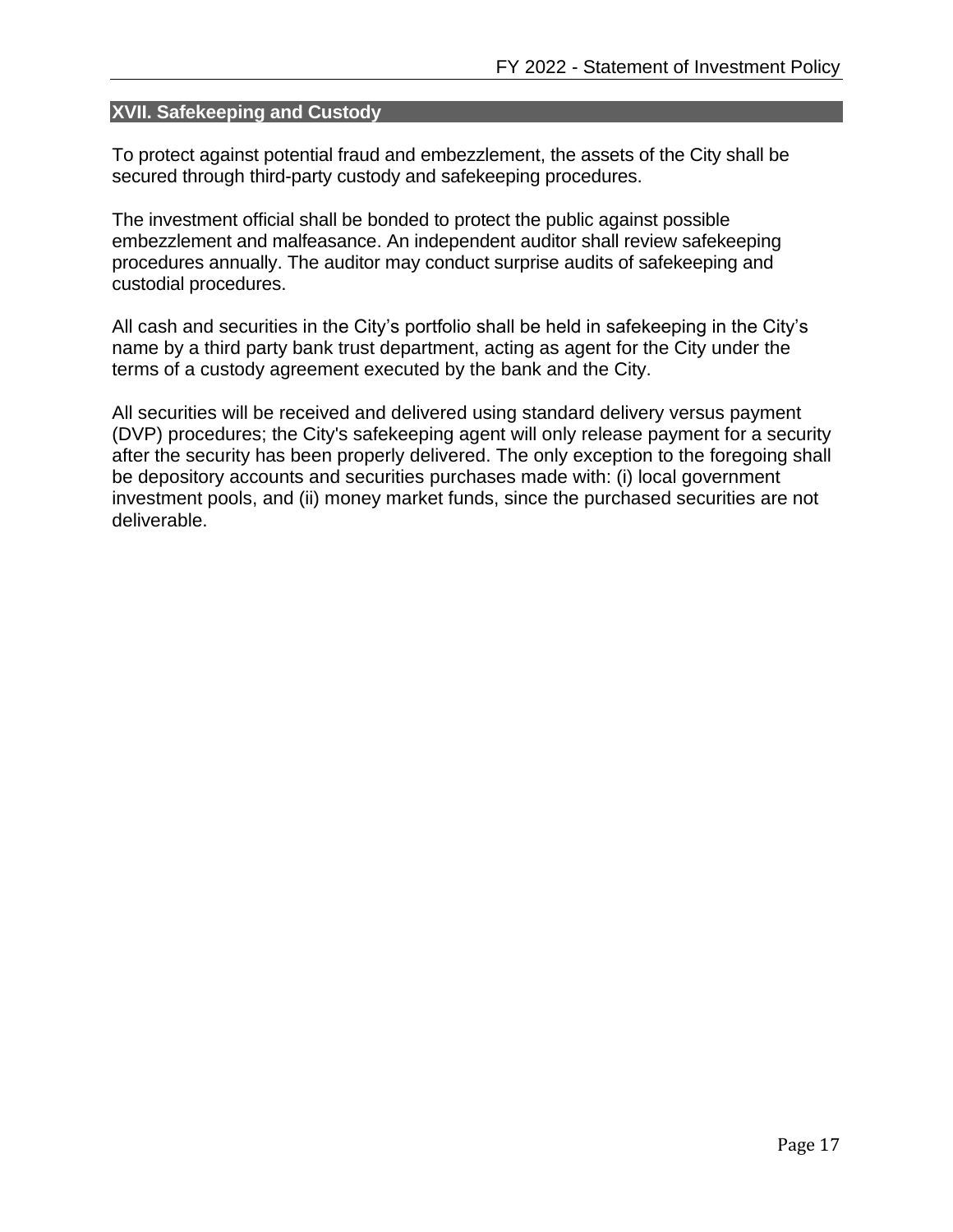## <span id="page-17-0"></span>**XVII. Safekeeping and Custody**

To protect against potential fraud and embezzlement, the assets of the City shall be secured through third-party custody and safekeeping procedures.

The investment official shall be bonded to protect the public against possible embezzlement and malfeasance. An independent auditor shall review safekeeping procedures annually. The auditor may conduct surprise audits of safekeeping and custodial procedures.

All cash and securities in the City's portfolio shall be held in safekeeping in the City's name by a third party bank trust department, acting as agent for the City under the terms of a custody agreement executed by the bank and the City.

All securities will be received and delivered using standard delivery versus payment (DVP) procedures; the City's safekeeping agent will only release payment for a security after the security has been properly delivered. The only exception to the foregoing shall be depository accounts and securities purchases made with: (i) local government investment pools, and (ii) money market funds, since the purchased securities are not deliverable.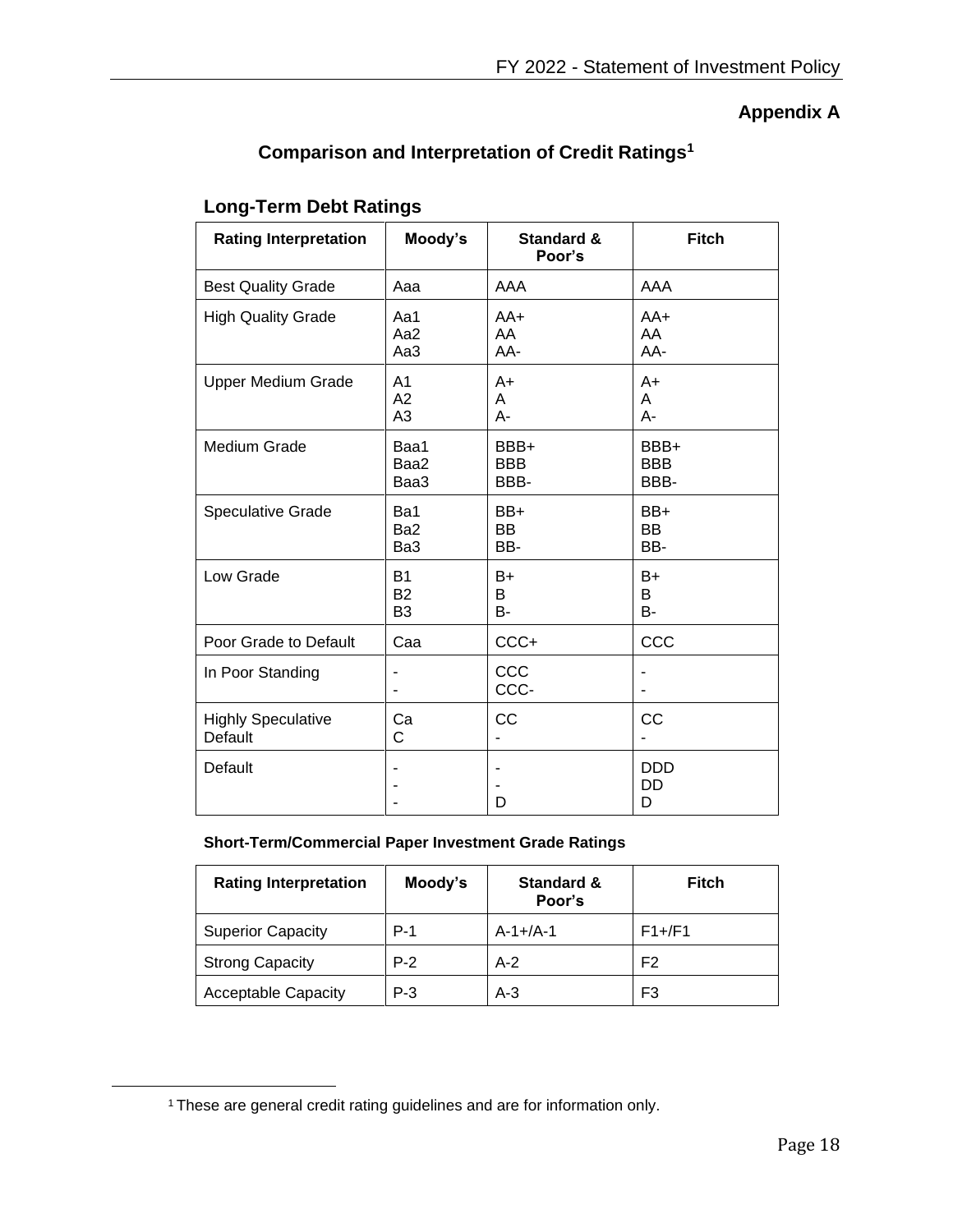# **Appendix A**

# **Comparison and Interpretation of Credit Ratings<sup>1</sup>**

# <span id="page-18-1"></span><span id="page-18-0"></span>**Long-Term Debt Ratings**

| <b>Rating Interpretation</b>         | Moody's                                            | <b>Standard &amp;</b><br>Poor's | <b>Fitch</b>               |
|--------------------------------------|----------------------------------------------------|---------------------------------|----------------------------|
| <b>Best Quality Grade</b>            | Aaa                                                | AAA                             | AAA                        |
| <b>High Quality Grade</b>            | Aa1<br>Aa2<br>Aa3                                  | $AA+$<br>AA<br>AA-              | AA+<br>AA<br>AA-           |
| <b>Upper Medium Grade</b>            | A <sub>1</sub><br>A <sub>2</sub><br>A <sub>3</sub> | $A+$<br>A<br>A-                 | A+<br>A<br>A-              |
| Medium Grade                         | Baa1<br>Baa2<br>Baa3                               | BBB+<br><b>BBB</b><br>BBB-      | BBB+<br><b>BBB</b><br>BBB- |
| <b>Speculative Grade</b>             | Ba1<br>Ba <sub>2</sub><br>Ba3                      | BB+<br><b>BB</b><br>BB-         | BB+<br>BB<br>BB-           |
| Low Grade                            | B <sub>1</sub><br><b>B2</b><br>B <sub>3</sub>      | B+<br>B<br>B-                   | B+<br>В<br>В-              |
| Poor Grade to Default                | Caa                                                | CCC+                            | CCC                        |
| In Poor Standing                     |                                                    | CCC<br>CCC-                     |                            |
| <b>Highly Speculative</b><br>Default | Ca<br>C                                            | CC                              | CC                         |
| Default                              |                                                    | D                               | <b>DDD</b><br>DD<br>D      |

#### **Short-Term/Commercial Paper Investment Grade Ratings**

| <b>Rating Interpretation</b> | Moody's | <b>Standard &amp;</b><br>Poor's | Fitch          |
|------------------------------|---------|---------------------------------|----------------|
| <b>Superior Capacity</b>     | $P-1$   | $A - 1 + /A - 1$                | $F1+/F1$       |
| <b>Strong Capacity</b>       | $P-2$   | $A-2$                           | F <sub>2</sub> |
| <b>Acceptable Capacity</b>   | $P-3$   | $A-3$                           | F <sub>3</sub> |

<sup>&</sup>lt;sup>1</sup> These are general credit rating guidelines and are for information only.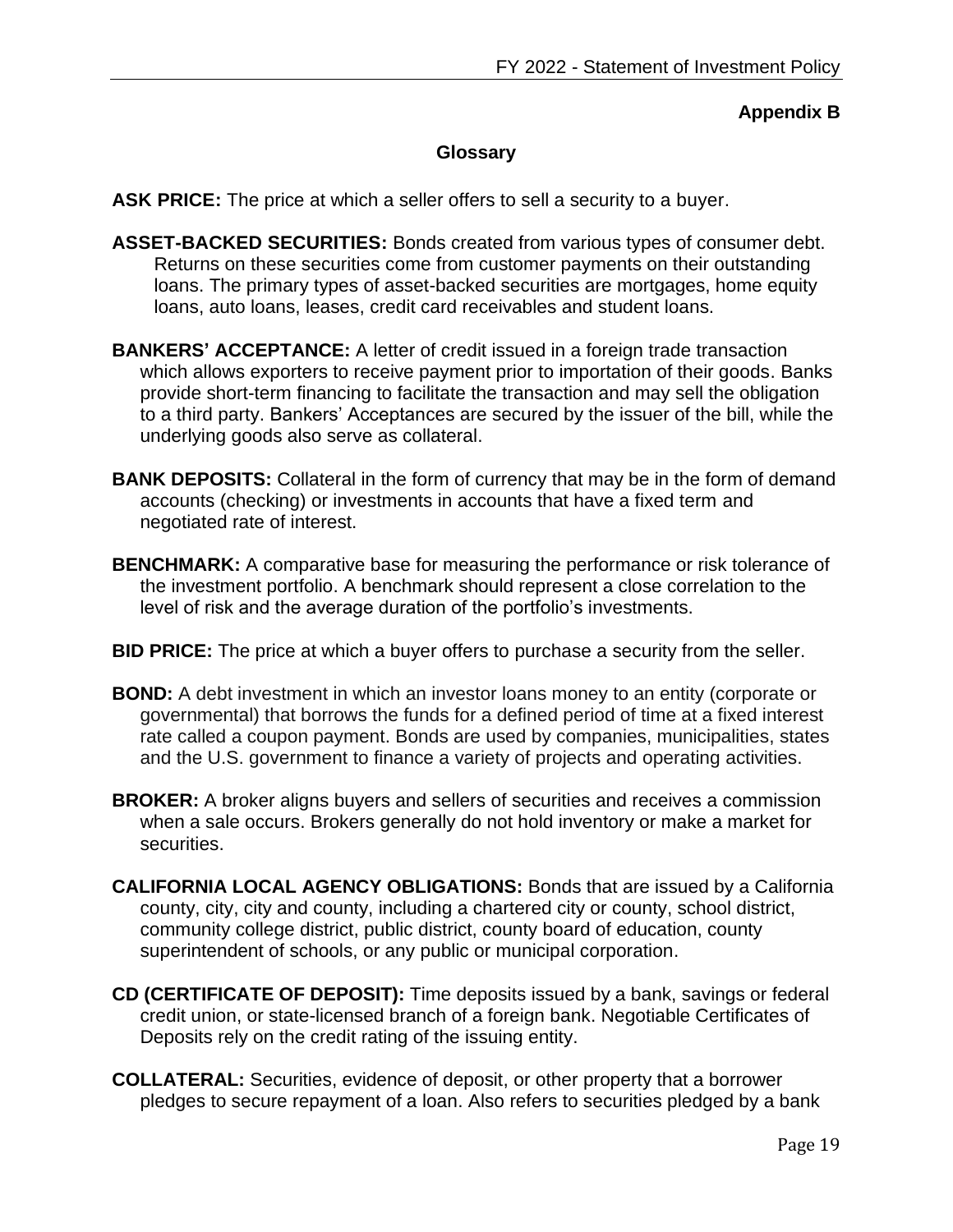## **Appendix B**

## **Glossary**

<span id="page-19-1"></span><span id="page-19-0"></span>**ASK PRICE:** The price at which a seller offers to sell a security to a buyer.

- **ASSET-BACKED SECURITIES:** Bonds created from various types of consumer debt. Returns on these securities come from customer payments on their outstanding loans. The primary types of asset-backed securities are mortgages, home equity loans, auto loans, leases, credit card receivables and student loans.
- **BANKERS' ACCEPTANCE:** A letter of credit issued in a foreign trade transaction which allows exporters to receive payment prior to importation of their goods. Banks provide short-term financing to facilitate the transaction and may sell the obligation to a third party. Bankers' Acceptances are secured by the issuer of the bill, while the underlying goods also serve as collateral.
- **BANK DEPOSITS:** Collateral in the form of currency that may be in the form of demand accounts (checking) or investments in accounts that have a fixed term and negotiated rate of interest.
- **BENCHMARK:** A comparative base for measuring the performance or risk tolerance of the investment portfolio. A benchmark should represent a close correlation to the level of risk and the average duration of the portfolio's investments.
- **BID PRICE:** The price at which a buyer offers to purchase a security from the seller.
- **BOND:** A debt investment in which an investor loans money to an entity (corporate or governmental) that borrows the funds for a defined period of time at a fixed interest rate called a coupon payment. Bonds are used by companies, municipalities, states and the U.S. government to finance a variety of projects and operating activities.
- **BROKER:** A broker aligns buyers and sellers of securities and receives a commission when a sale occurs. Brokers generally do not hold inventory or make a market for securities.
- **CALIFORNIA LOCAL AGENCY OBLIGATIONS:** Bonds that are issued by a California county, city, city and county, including a chartered city or county, school district, community college district, public district, county board of education, county superintendent of schools, or any public or municipal corporation.
- **CD (CERTIFICATE OF DEPOSIT):** Time deposits issued by a bank, savings or federal credit union, or state-licensed branch of a foreign bank. Negotiable Certificates of Deposits rely on the credit rating of the issuing entity.
- **COLLATERAL:** Securities, evidence of deposit, or other property that a borrower pledges to secure repayment of a loan. Also refers to securities pledged by a bank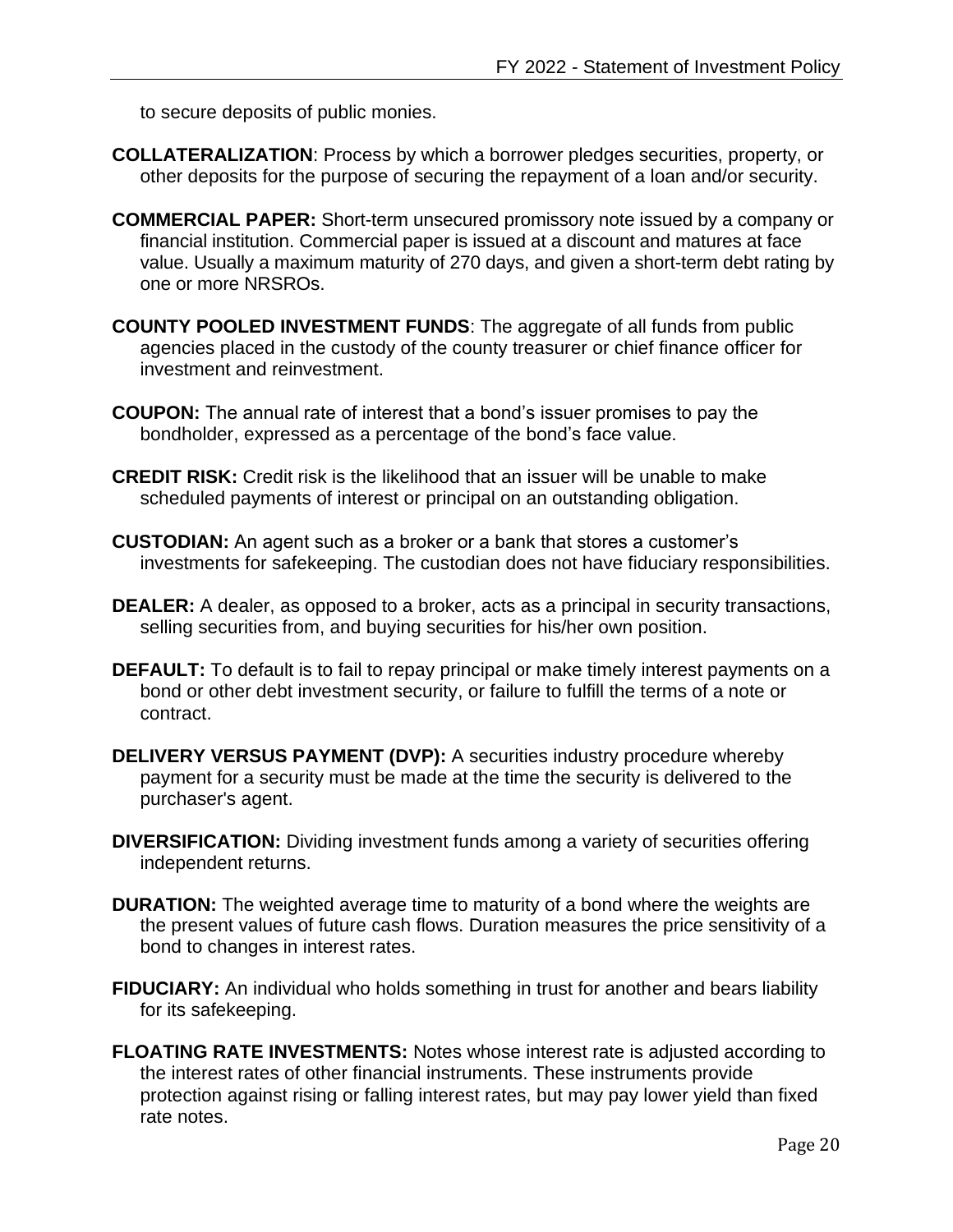to secure deposits of public monies.

- **COLLATERALIZATION**: Process by which a borrower pledges securities, property, or other deposits for the purpose of securing the repayment of a loan and/or security.
- **COMMERCIAL PAPER:** Short-term unsecured promissory note issued by a company or financial institution. Commercial paper is issued at a discount and matures at face value. Usually a maximum maturity of 270 days, and given a short-term debt rating by one or more NRSROs.
- **COUNTY POOLED INVESTMENT FUNDS**: The aggregate of all funds from public agencies placed in the custody of the county treasurer or chief finance officer for investment and reinvestment.
- **COUPON:** The annual rate of interest that a bond's issuer promises to pay the bondholder, expressed as a percentage of the bond's face value.
- **CREDIT RISK:** Credit risk is the likelihood that an issuer will be unable to make scheduled payments of interest or principal on an outstanding obligation.
- **CUSTODIAN:** An agent such as a broker or a bank that stores a customer's investments for safekeeping. The custodian does not have fiduciary responsibilities.
- **DEALER:** A dealer, as opposed to a broker, acts as a principal in security transactions, selling securities from, and buying securities for his/her own position.
- **DEFAULT:** To default is to fail to repay principal or make timely interest payments on a bond or other debt investment security, or failure to fulfill the terms of a note or contract.
- **DELIVERY VERSUS PAYMENT (DVP):** A securities industry procedure whereby payment for a security must be made at the time the security is delivered to the purchaser's agent.
- **DIVERSIFICATION:** Dividing investment funds among a variety of securities offering independent returns.
- **DURATION:** The weighted average time to maturity of a bond where the weights are the present values of future cash flows. Duration measures the price sensitivity of a bond to changes in interest rates.
- **FIDUCIARY:** An individual who holds something in trust for another and bears liability for its safekeeping.
- **FLOATING RATE INVESTMENTS:** Notes whose interest rate is adjusted according to the interest rates of other financial instruments. These instruments provide protection against rising or falling interest rates, but may pay lower yield than fixed rate notes.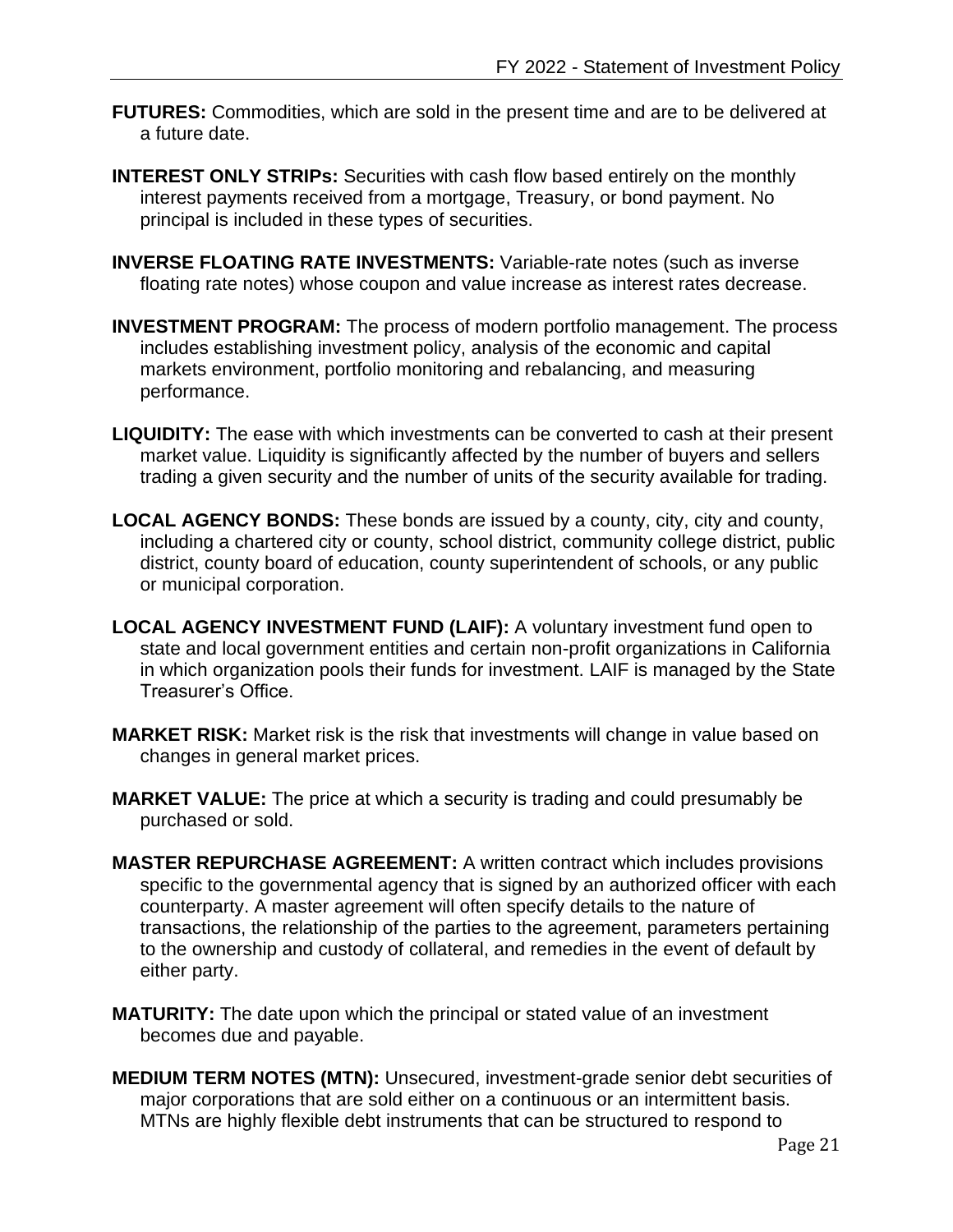- **FUTURES:** Commodities, which are sold in the present time and are to be delivered at a future date.
- **INTEREST ONLY STRIPs:** Securities with cash flow based entirely on the monthly [interest](http://www.investorwords.com/2531/interest.html) payments received from a mortgage, Treasury, or bond payment. No principal is included in these types of securities.
- **INVERSE FLOATING RATE INVESTMENTS:** Variable-rate notes (such as inverse floating rate notes) whose coupon and value increase as interest rates decrease.
- **INVESTMENT PROGRAM:** The process of modern portfolio management. The process includes establishing investment policy, analysis of the economic and capital markets environment, portfolio monitoring and rebalancing, and measuring performance.
- **LIQUIDITY:** The ease with which investments can be converted to cash at their present market value. Liquidity is significantly affected by the number of buyers and sellers trading a given security and the number of units of the security available for trading.
- **LOCAL AGENCY BONDS:** These bonds are issued by a county, city, city and county, including a chartered city or county, school district, community college district, public district, county board of education, county superintendent of schools, or any public or municipal corporation.
- **LOCAL AGENCY INVESTMENT FUND (LAIF):** A voluntary investment fund open to state and local government entities and certain non-profit organizations in California in which organization pools their funds for investment. LAIF is managed by the State Treasurer's Office.
- **MARKET RISK:** Market risk is the risk that investments will change in value based on changes in general market prices.
- **MARKET VALUE:** The price at which a security is trading and could presumably be purchased or sold.
- **MASTER REPURCHASE AGREEMENT:** A written contract which includes provisions specific to the governmental agency that is signed by an authorized officer with each counterparty. A master agreement will often specify details to the nature of transactions, the relationship of the parties to the agreement, parameters pertaining to the ownership and custody of collateral, and remedies in the event of default by either party.
- **MATURITY:** The date upon which the principal or stated value of an investment becomes due and payable.
- **MEDIUM TERM NOTES (MTN):** Unsecured, investment-grade senior debt securities of major corporations that are sold either on a continuous or an intermittent basis. MTNs are highly flexible debt instruments that can be structured to respond to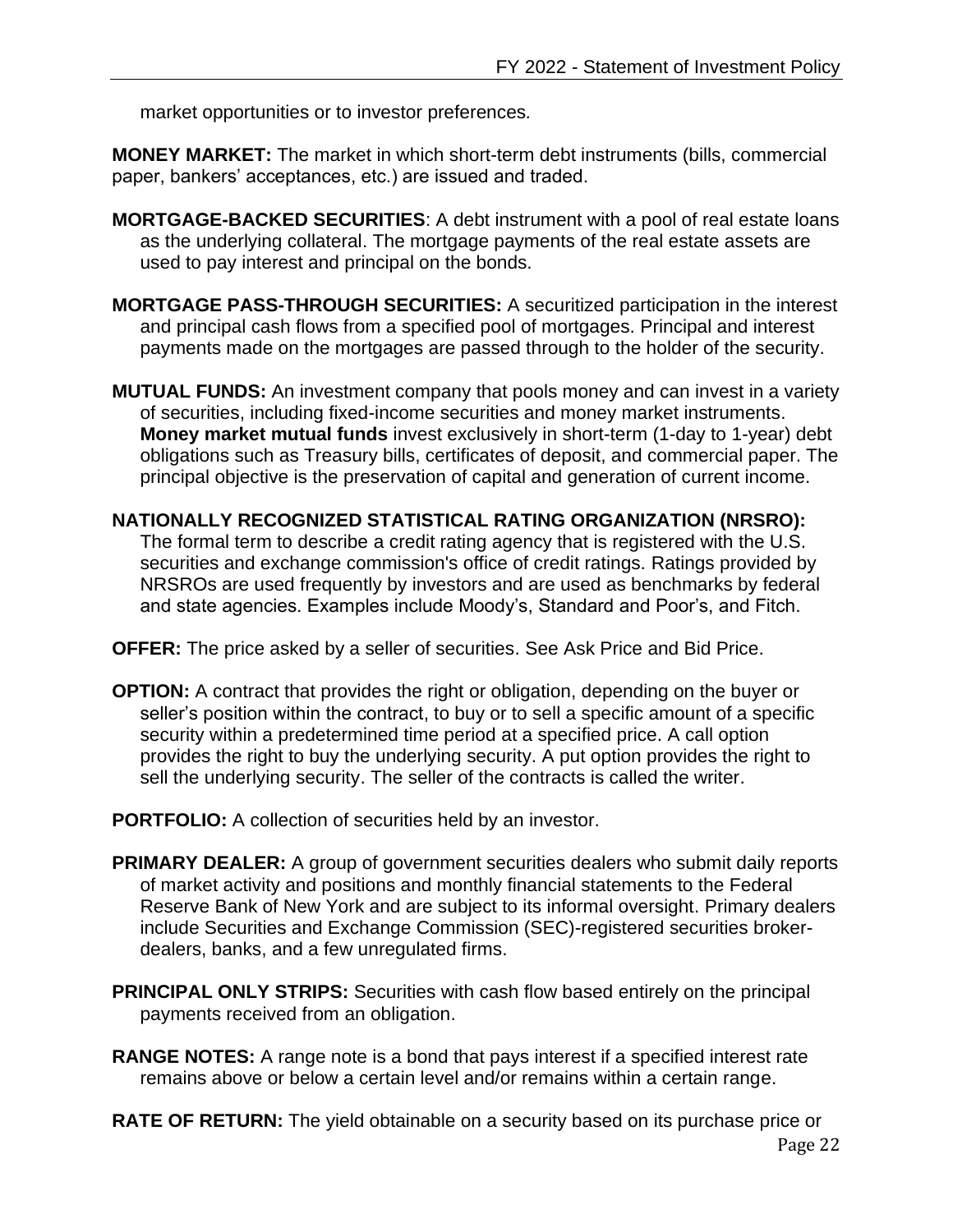market opportunities or to investor preferences*.*

**MONEY MARKET:** The market in which short-term debt instruments (bills, commercial paper, bankers' acceptances, etc.) are issued and traded.

- **MORTGAGE-BACKED SECURITIES**: A debt instrument with a pool of real estate loans as the underlying collateral. The mortgage payments of the real estate assets are used to pay interest and principal on the bonds.
- **MORTGAGE PASS-THROUGH SECURITIES:** A securitized participation in the interest and principal cash flows from a specified pool of mortgages. Principal and interest payments made on the mortgages are passed through to the holder of the security.
- **MUTUAL FUNDS:** An investment company that pools money and can invest in a variety of securities, including fixed-income securities and money market instruments. **Money market mutual funds** invest exclusively in short-term (1-day to 1-year) debt obligations such as Treasury bills, certificates of deposit, and commercial paper. The principal objective is the preservation of capital and generation of current income.
- **NATIONALLY RECOGNIZED STATISTICAL RATING ORGANIZATION (NRSRO):**  The formal term to describe a credit rating agency that is registered with the U.S. securities and exchange commission's office of credit ratings. Ratings provided by NRSROs are used frequently by investors and are used as benchmarks by federal and state agencies. Examples include Moody's, Standard and Poor's, and Fitch.
- **OFFER:** The price asked by a seller of securities. See Ask Price and Bid Price.
- **OPTION:** A contract that provides the right or obligation, depending on the buyer or seller's position within the contract, to buy or to sell a specific amount of a specific security within a predetermined time period at a specified price. A call option provides the right to buy the underlying security. A put option provides the right to sell the underlying security. The seller of the contracts is called the writer.
- **PORTFOLIO:** A collection of securities held by an investor.
- **PRIMARY DEALER:** A group of government securities dealers who submit daily reports of market activity and positions and monthly financial statements to the Federal Reserve Bank of New York and are subject to its informal oversight. Primary dealers include Securities and Exchange Commission (SEC)-registered securities brokerdealers, banks, and a few unregulated firms.
- **PRINCIPAL ONLY STRIPS:** Securities with cash flow based entirely on the principal payments received from an obligation.
- **RANGE NOTES:** A range note is a bond that pays interest if a specified interest rate remains above or below a certain level and/or remains within a certain range.
- **RATE OF RETURN:** The yield obtainable on a security based on its purchase price or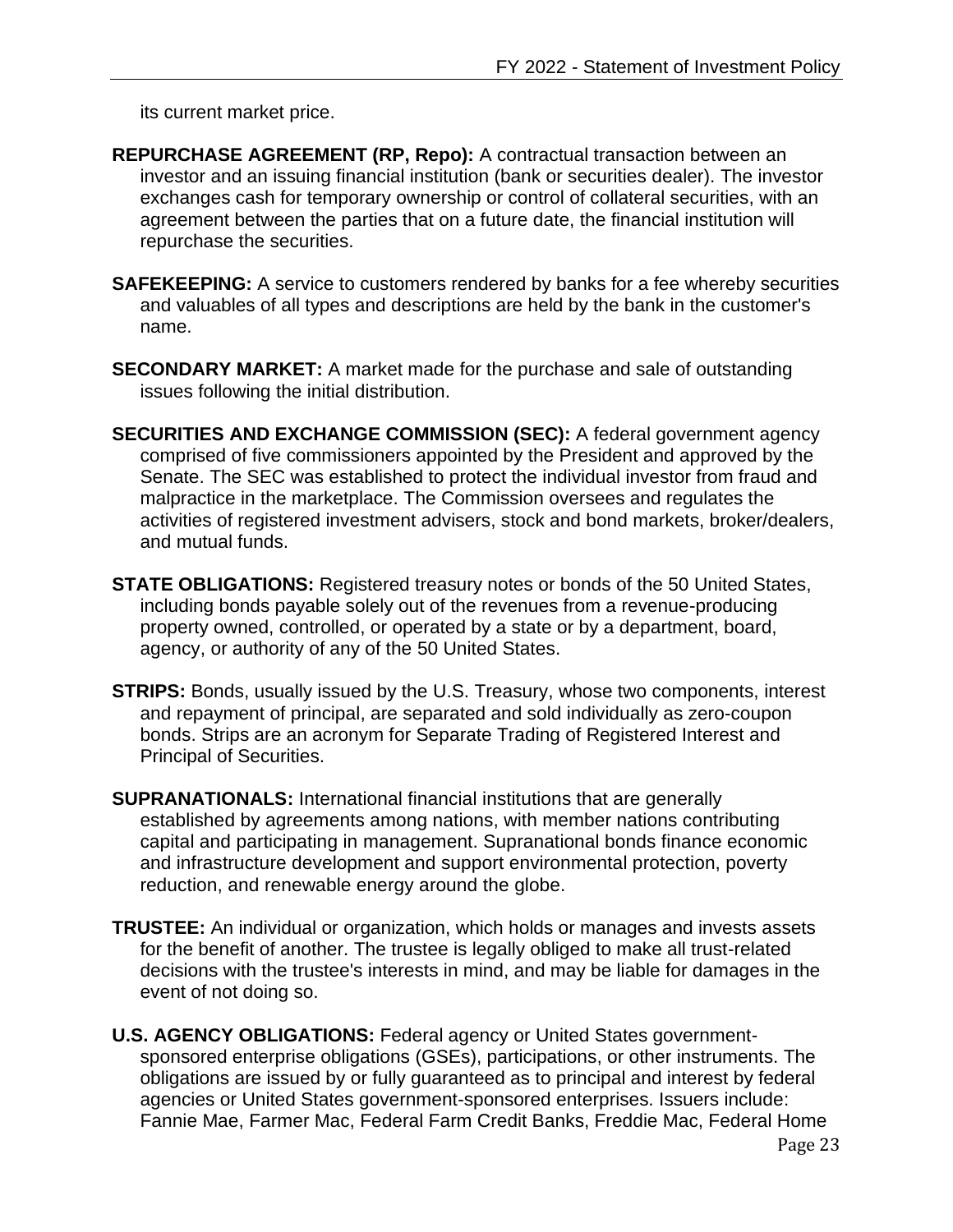its current market price.

- **REPURCHASE AGREEMENT (RP, Repo):** A contractual transaction between an investor and an issuing financial institution (bank or securities dealer). The investor exchanges cash for temporary ownership or control of collateral securities, with an agreement between the parties that on a future date, the financial institution will repurchase the securities.
- **SAFEKEEPING:** A service to customers rendered by banks for a fee whereby securities and valuables of all types and descriptions are held by the bank in the customer's name.
- **SECONDARY MARKET:** A market made for the purchase and sale of outstanding issues following the initial distribution.
- **SECURITIES AND EXCHANGE COMMISSION (SEC):** A federal government agency comprised of five commissioners appointed by the President and approved by the Senate. The SEC was established to protect the individual investor from fraud and malpractice in the marketplace. The Commission oversees and regulates the activities of registered investment advisers, stock and bond markets, broker/dealers, and mutual funds.
- **STATE OBLIGATIONS:** Registered treasury notes or bonds of the 50 United States, including bonds payable solely out of the revenues from a revenue-producing property owned, controlled, or operated by a state or by a department, board, agency, or authority of any of the 50 United States.
- **STRIPS:** [Bonds](http://www.investorwords.com/521/Bond.html), usually issued by the [U.S. Treasury,](http://www.investorwords.com/5196/U.S._Treasury.html) whose two components, [interest](http://www.investorwords.com/2531/interest.html) and repayment of [principal,](http://www.investorwords.com/3839/principal.html) are separated and sold individually as [zero-coupon](http://www.investorwords.com/5377/zero_coupon_bonds.html)  [bonds.](http://www.investorwords.com/5377/zero_coupon_bonds.html) Strips are an acronym for Separate Trading of Registered Interest and Principal of Securities.
- **SUPRANATIONALS:** International financial institutions that are generally established by agreements among nations, with member nations contributing capital and participating in management. Supranational bonds finance economic and infrastructure development and support environmental protection, poverty reduction, and renewable energy around the globe.
- **TRUSTEE:** An individual or [organization,](http://www.investorwords.com/3504/organization.html) which holds or manages and invests [assets](http://www.investorwords.com/273/assets.html) for the [benefit](http://www.investorwords.com/461/benefit.html) of another. The trustee is legally obliged to make all trust-related decisions with the trustee's interests in mind, and may be liable for damages in the event of not doing so.
- **U.S. AGENCY OBLIGATIONS:** Federal agency or United States governmentsponsored enterprise obligations (GSEs), participations, or other instruments. The obligations are issued by or fully guaranteed as to principal and interest by federal agencies or United States government-sponsored enterprises. Issuers include: Fannie Mae, Farmer Mac, Federal Farm Credit Banks, Freddie Mac, Federal Home